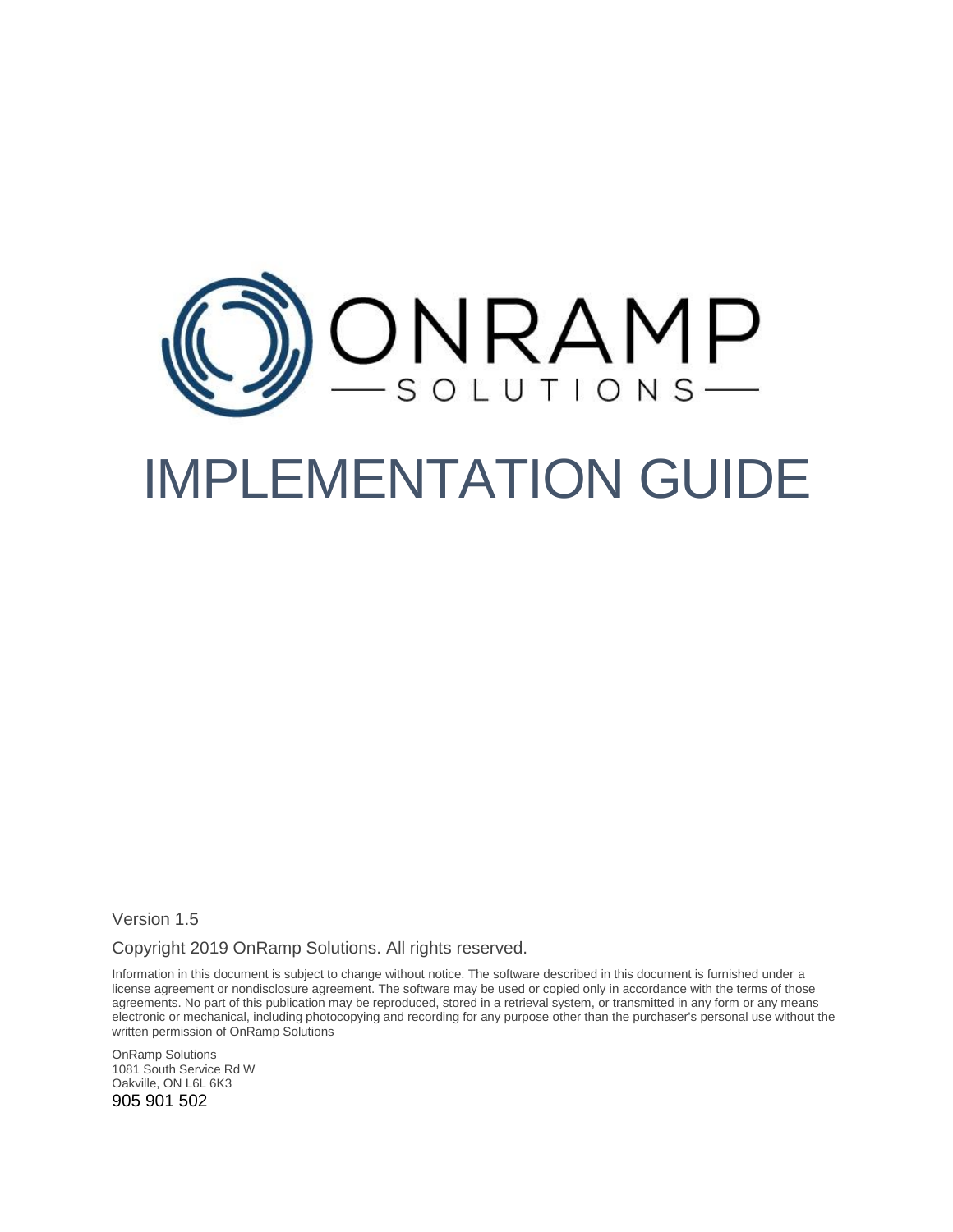

# IMPLEMENTATION GUIDE

Version 1.5

Copyright 2019 OnRamp Solutions. All rights reserved.

Information in this document is subject to change without notice. The software described in this document is furnished under a license agreement or nondisclosure agreement. The software may be used or copied only in accordance with the terms of those agreements. No part of this publication may be reproduced, stored in a retrieval system, or transmitted in any form or any means electronic or mechanical, including photocopying and recording for any purpose other than the purchaser's personal use without the written permission of OnRamp Solutions

OnRamp Solutions 1081 South Service Rd W Oakville, ON L6L 6K3 905 901 502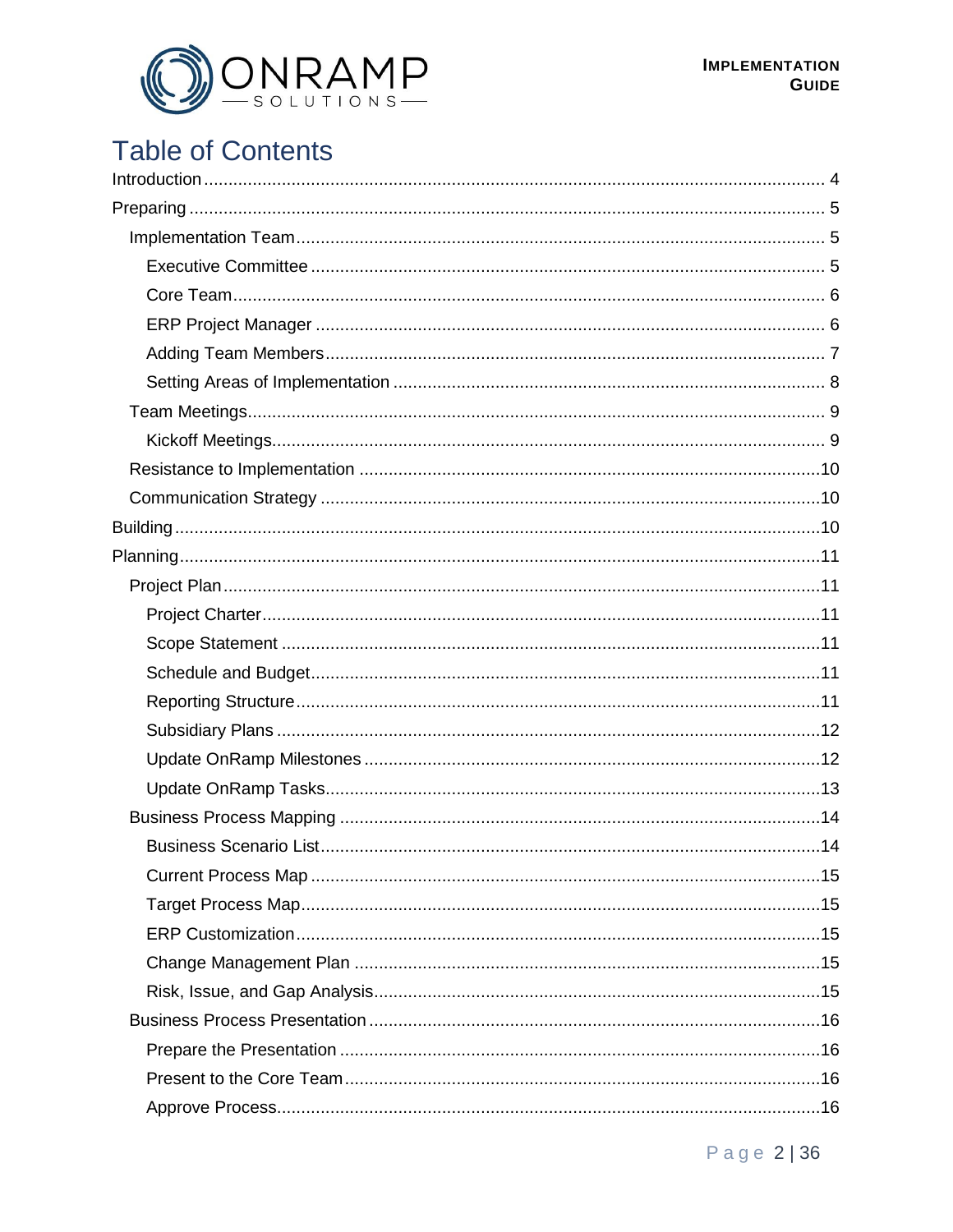

# **Table of Contents**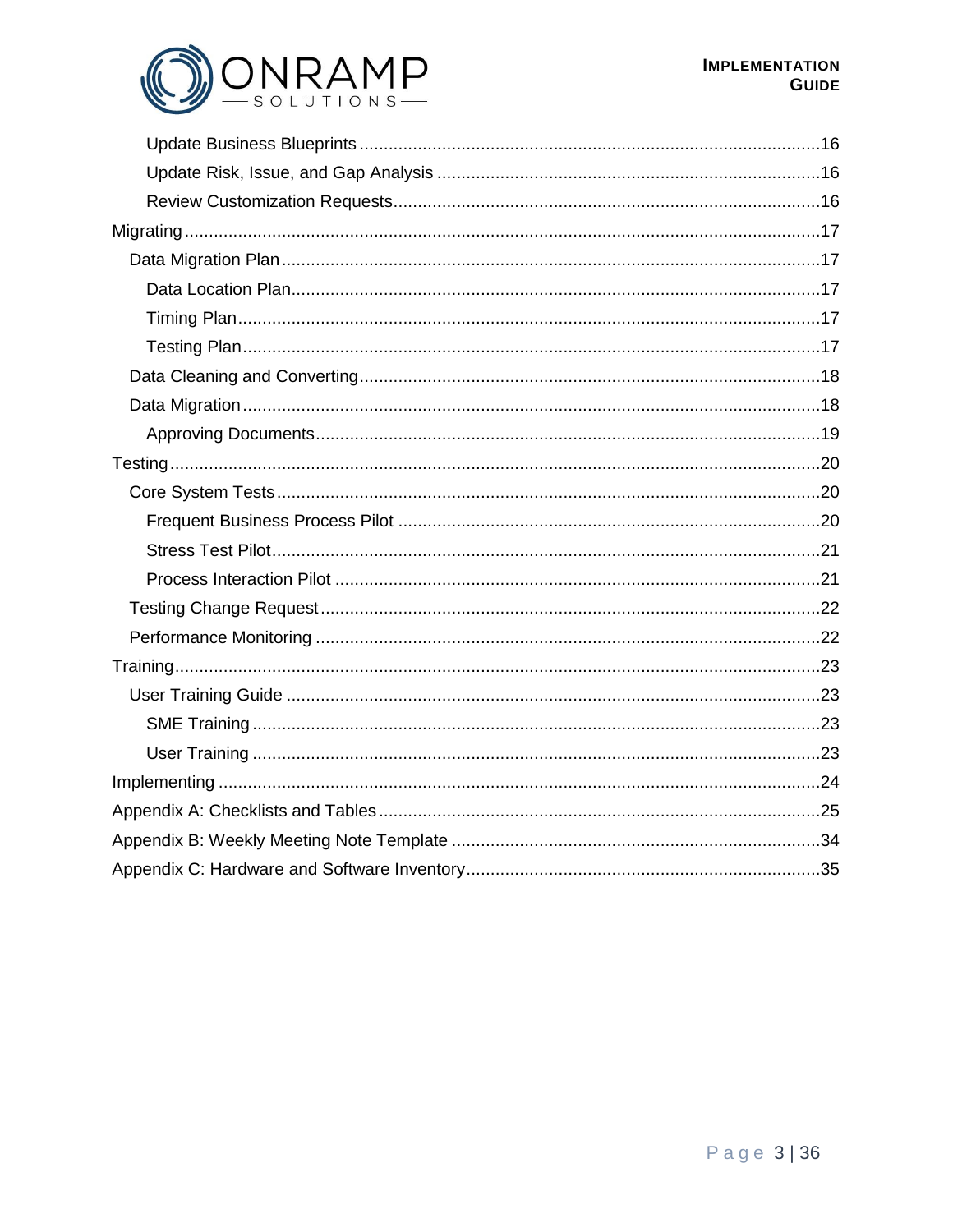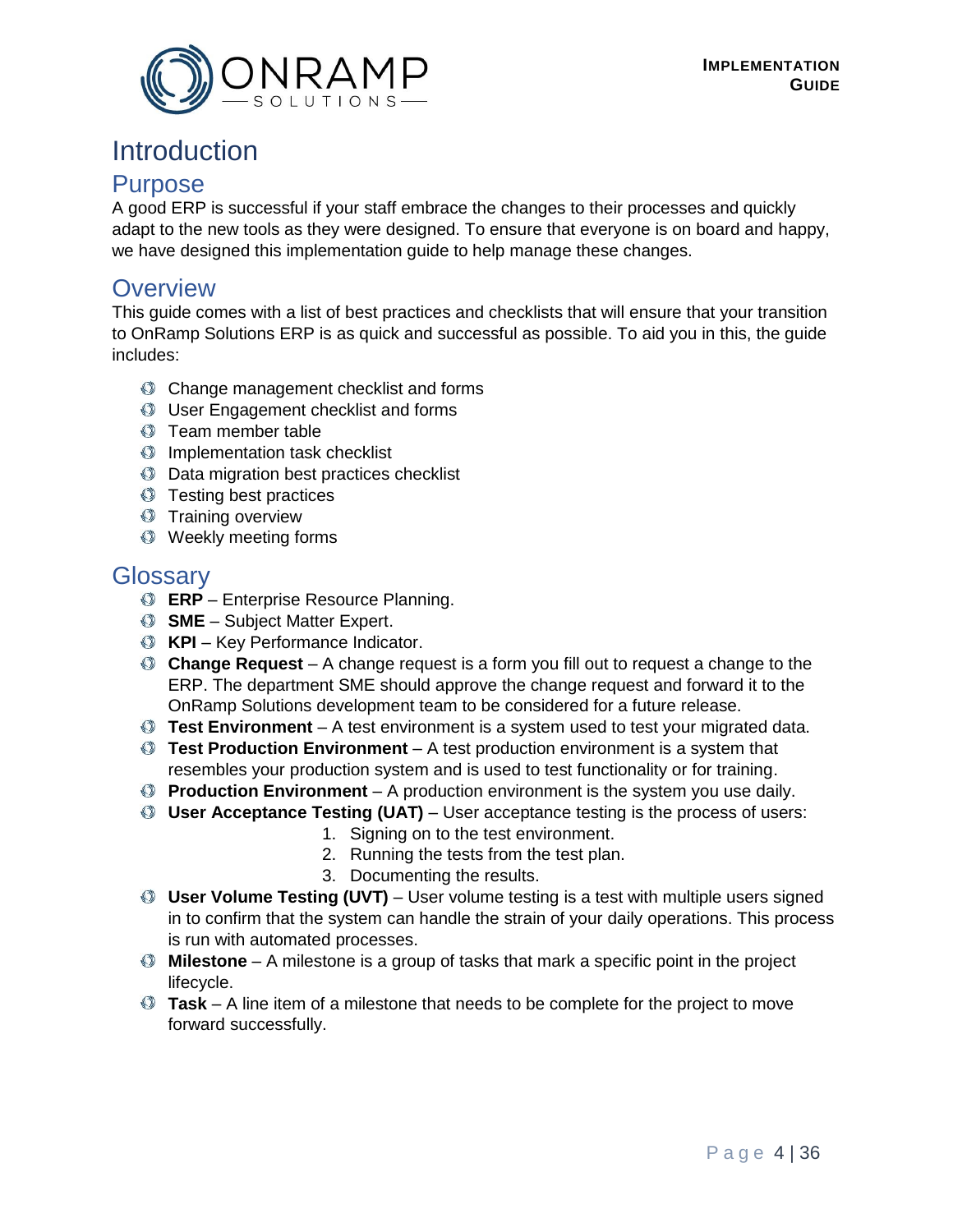

# <span id="page-3-0"></span>Introduction

### **Purpose**

A good ERP is successful if your staff embrace the changes to their processes and quickly adapt to the new tools as they were designed. To ensure that everyone is on board and happy, we have designed this implementation guide to help manage these changes.

# **Overview**

This guide comes with a list of best practices and checklists that will ensure that your transition to OnRamp Solutions ERP is as quick and successful as possible. To aid you in this, the guide includes:

- Change management checklist and forms
- User Engagement checklist and forms
- **Team member table**
- **Implementation task checklist**
- $\bullet$  Data migration best practices checklist
- **Testing best practices**
- **Training overview**
- Weekly meeting forms

# **Glossary**

- **ERP** Enterprise Resource Planning.
- **SME** Subject Matter Expert.
- **KPI** Key Performance Indicator.
- **Change Request**  A change request is a form you fill out to request a change to the ERP. The department SME should approve the change request and forward it to the OnRamp Solutions development team to be considered for a future release.
- **Test Environment**  A test environment is a system used to test your migrated data.
- **Test Production Environment**  A test production environment is a system that resembles your production system and is used to test functionality or for training.
- **Production Environment**  A production environment is the system you use daily.
- **User Acceptance Testing (UAT)**  User acceptance testing is the process of users:
	- 1. Signing on to the test environment.
	- 2. Running the tests from the test plan.
	- 3. Documenting the results.
- **User Volume Testing (UVT)**  User volume testing is a test with multiple users signed in to confirm that the system can handle the strain of your daily operations. This process is run with automated processes.
- **Milestone**  A milestone is a group of tasks that mark a specific point in the project lifecycle.
- **Task**  A line item of a milestone that needs to be complete for the project to move forward successfully.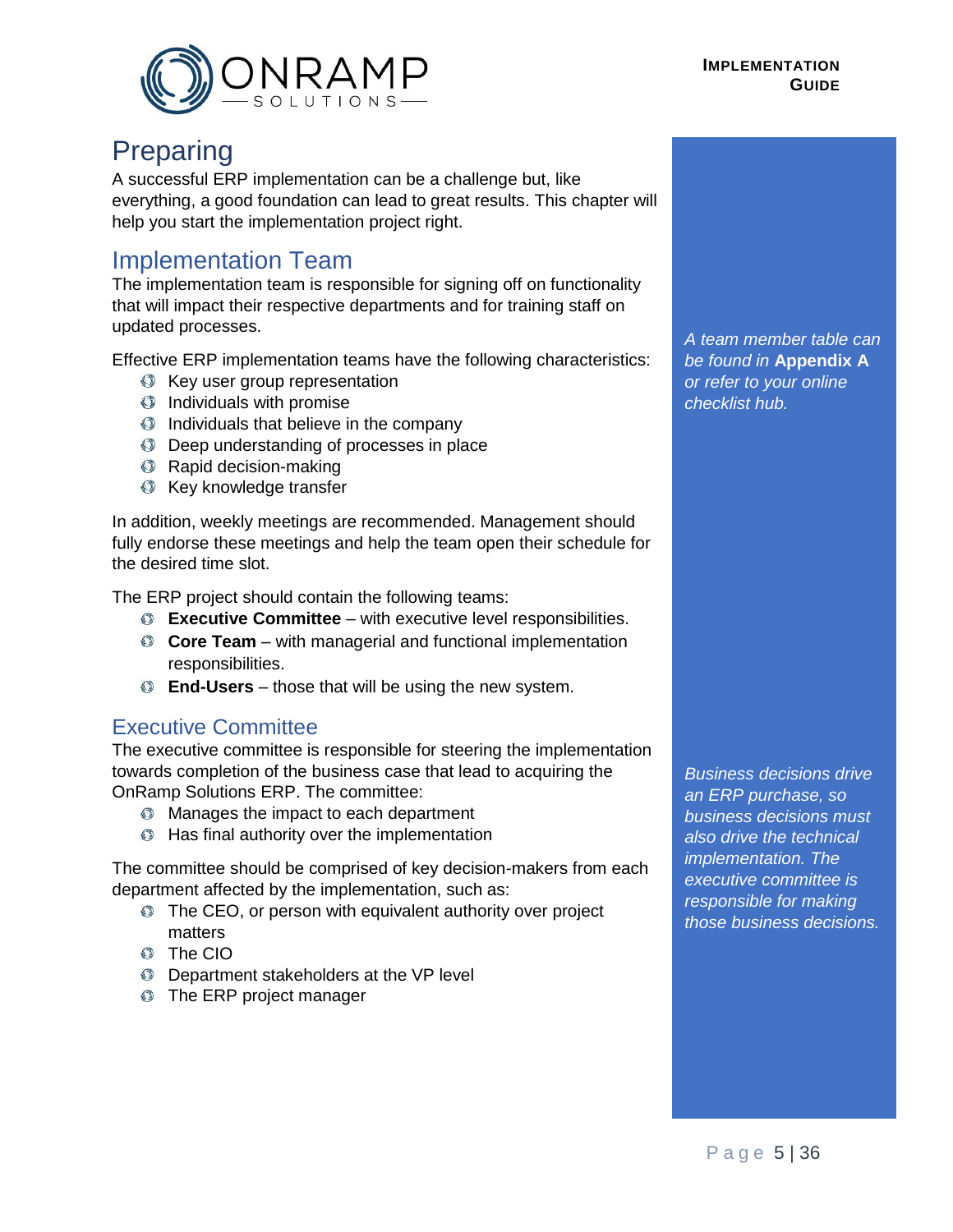

#### **IMPLEMENTATION GUIDE**

# <span id="page-4-0"></span>Preparing

A successful ERP implementation can be a challenge but, like everything, a good foundation can lead to great results. This chapter will help you start the implementation project right.

# <span id="page-4-1"></span>Implementation Team

The implementation team is responsible for signing off on functionality that will impact their respective departments and for training staff on updated processes.

Effective ERP implementation teams have the following characteristics:

- Key user group representation
- $\bullet$  Individuals with promise
- $\circled{a}$  Individuals that believe in the company
- Deep understanding of processes in place
- **Rapid decision-making**
- **Key knowledge transfer**

In addition, weekly meetings are recommended. Management should fully endorse these meetings and help the team open their schedule for the desired time slot.

The ERP project should contain the following teams:

- **Executive Committee** with executive level responsibilities.
- **Core Team** with managerial and functional implementation responsibilities.
- **End-Users** those that will be using the new system.

#### <span id="page-4-2"></span>Executive Committee

The executive committee is responsible for steering the implementation towards completion of the business case that lead to acquiring the OnRamp Solutions ERP. The committee:

- **C** Manages the impact to each department
- **C** Has final authority over the implementation

The committee should be comprised of key decision-makers from each department affected by the implementation, such as:

- $\bullet$  The CEO, or person with equivalent authority over project matters
- The CIO
- **C** Department stakeholders at the VP level
- **The ERP project manager**

*A team member table can be found in* **Appendix A** *or refer to your online checklist hub.*

*Business decisions drive an ERP purchase, so business decisions must also drive the technical implementation. The executive committee is responsible for making those business decisions.*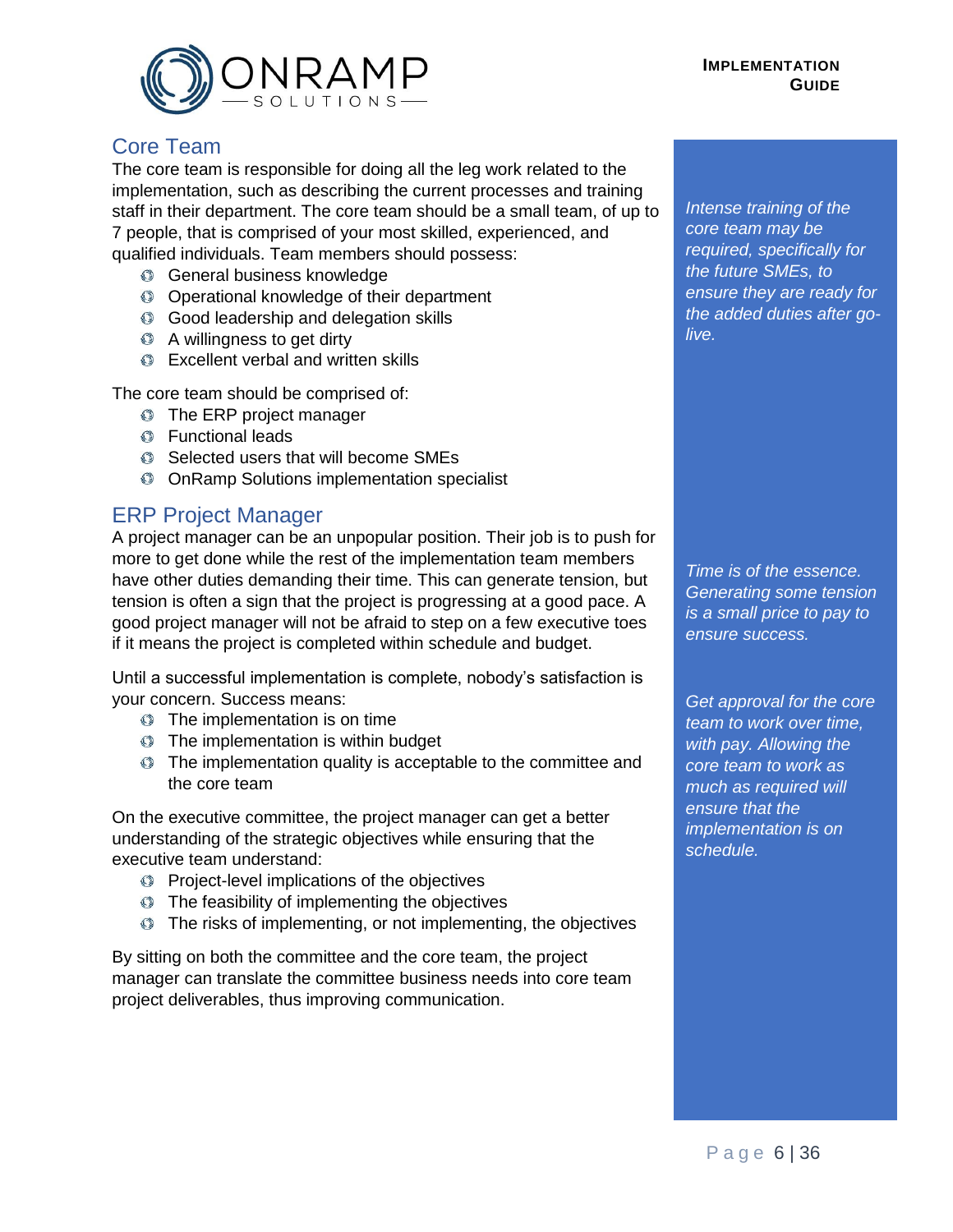

#### <span id="page-5-0"></span>Core Team

The core team is responsible for doing all the leg work related to the implementation, such as describing the current processes and training staff in their department. The core team should be a small team, of up to 7 people, that is comprised of your most skilled, experienced, and qualified individuals. Team members should possess:

- General business knowledge
- Operational knowledge of their department
- Good leadership and delegation skills
- A willingness to get dirty
- **Excellent verbal and written skills**

The core team should be comprised of:

- **The ERP project manager**
- Functional leads
- Selected users that will become SMEs
- **C** OnRamp Solutions implementation specialist

#### <span id="page-5-1"></span>ERP Project Manager

A project manager can be an unpopular position. Their job is to push for more to get done while the rest of the implementation team members have other duties demanding their time. This can generate tension, but tension is often a sign that the project is progressing at a good pace. A good project manager will not be afraid to step on a few executive toes if it means the project is completed within schedule and budget.

Until a successful implementation is complete, nobody's satisfaction is your concern. Success means:

- **The implementation is on time**
- **The implementation is within budget**
- $\bullet$  The implementation quality is acceptable to the committee and the core team

On the executive committee, the project manager can get a better understanding of the strategic objectives while ensuring that the executive team understand:

- **Project-level implications of the objectives**
- $\bullet$  The feasibility of implementing the objectives
- $\bullet$  The risks of implementing, or not implementing, the objectives

By sitting on both the committee and the core team, the project manager can translate the committee business needs into core team project deliverables, thus improving communication.

*Intense training of the core team may be required, specifically for the future SMEs, to ensure they are ready for the added duties after golive.*

*Time is of the essence. Generating some tension is a small price to pay to ensure success.*

*Get approval for the core team to work over time, with pay. Allowing the core team to work as much as required will ensure that the implementation is on schedule.*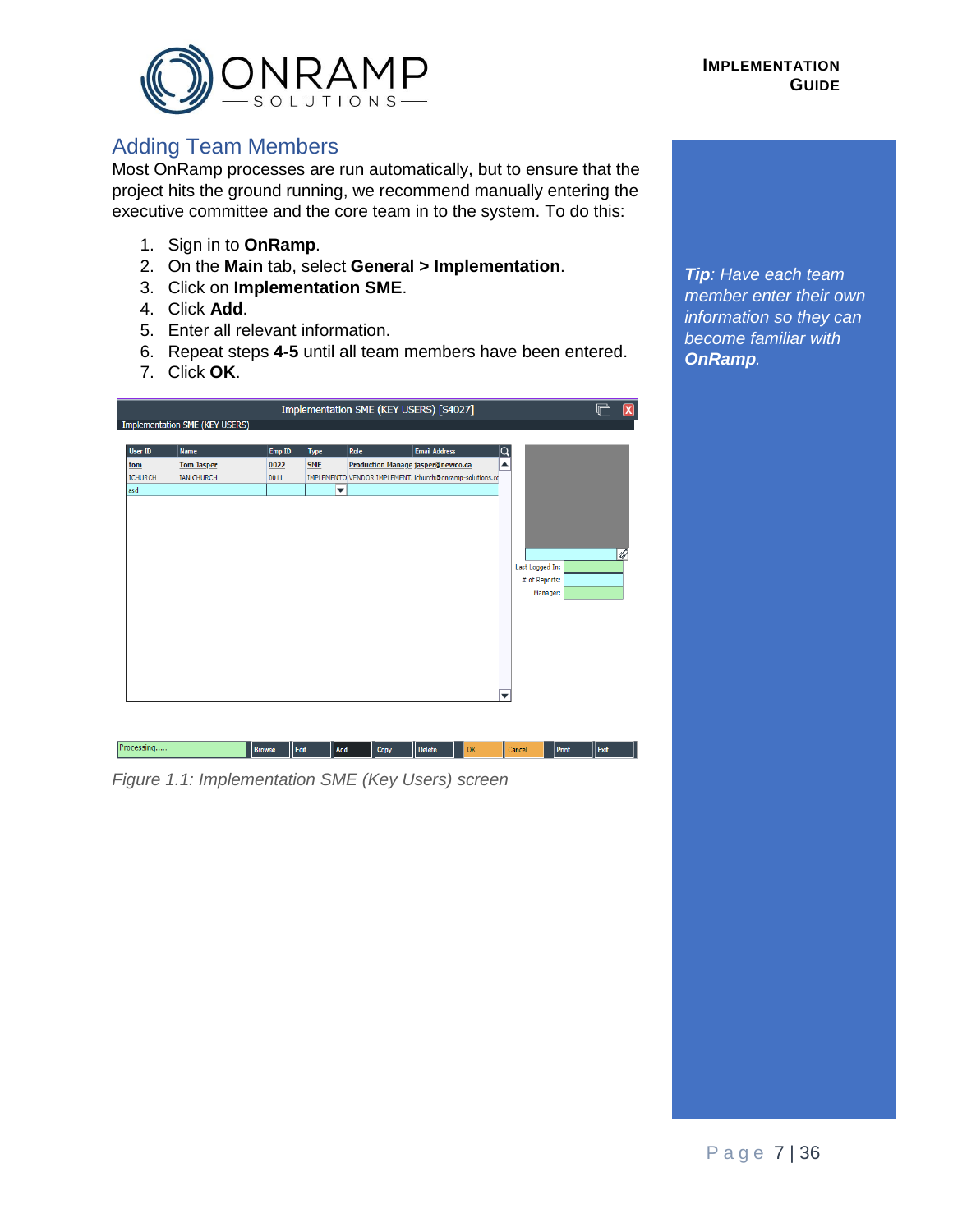

# <span id="page-6-0"></span>Adding Team Members

Most OnRamp processes are run automatically, but to ensure that the project hits the ground running, we recommend manually entering the executive committee and the core team in to the system. To do this:

- 1. Sign in to **OnRamp**.
- 2. On the **Main** tab, select **General > Implementation**.
- 3. Click on **Implementation SME**.
- 4. Click **Add**.
- 5. Enter all relevant information.
- 6. Repeat steps **4-5** until all team members have been entered.
- 7. Click **OK**.

|                |                                       |                       |                         | Implementation SME (KEY USERS) [S4027]   |                                                          |                         |                                              |       |      |
|----------------|---------------------------------------|-----------------------|-------------------------|------------------------------------------|----------------------------------------------------------|-------------------------|----------------------------------------------|-------|------|
|                | <b>Implementation SME (KEY USERS)</b> |                       |                         |                                          |                                                          |                         |                                              |       |      |
| <b>User ID</b> | <b>Name</b>                           | Emp ID                | <b>Type</b>             | Role                                     | <b>Email Address</b>                                     | Q                       |                                              |       |      |
| tom            | <b>Tom Jasper</b>                     | 0022                  | <b>SME</b>              | <b>Production Manage jasper@newco.ca</b> |                                                          | ▲                       |                                              |       |      |
| <b>ICHURCH</b> | <b>IAN CHURCH</b>                     | 0011                  |                         |                                          | IMPLEMENTO VENDOR IMPLEMENT, ichurch@onramp-solutions.cc |                         |                                              |       |      |
| asd            |                                       |                       | $\overline{\mathbf{v}}$ |                                          |                                                          |                         |                                              |       |      |
|                |                                       |                       |                         |                                          |                                                          | $\overline{\mathbf{v}}$ | Last Logged In:<br># of Reports:<br>Manager: |       | lb   |
| Processing     |                                       | Edit<br><b>Browse</b> | Add                     | Copy                                     | <b>Delete</b><br>OK                                      | Cancel                  |                                              | Print | Exit |

*Figure 1.1: Implementation SME (Key Users) screen*

*Tip: Have each team member enter their own information so they can become familiar with OnRamp.*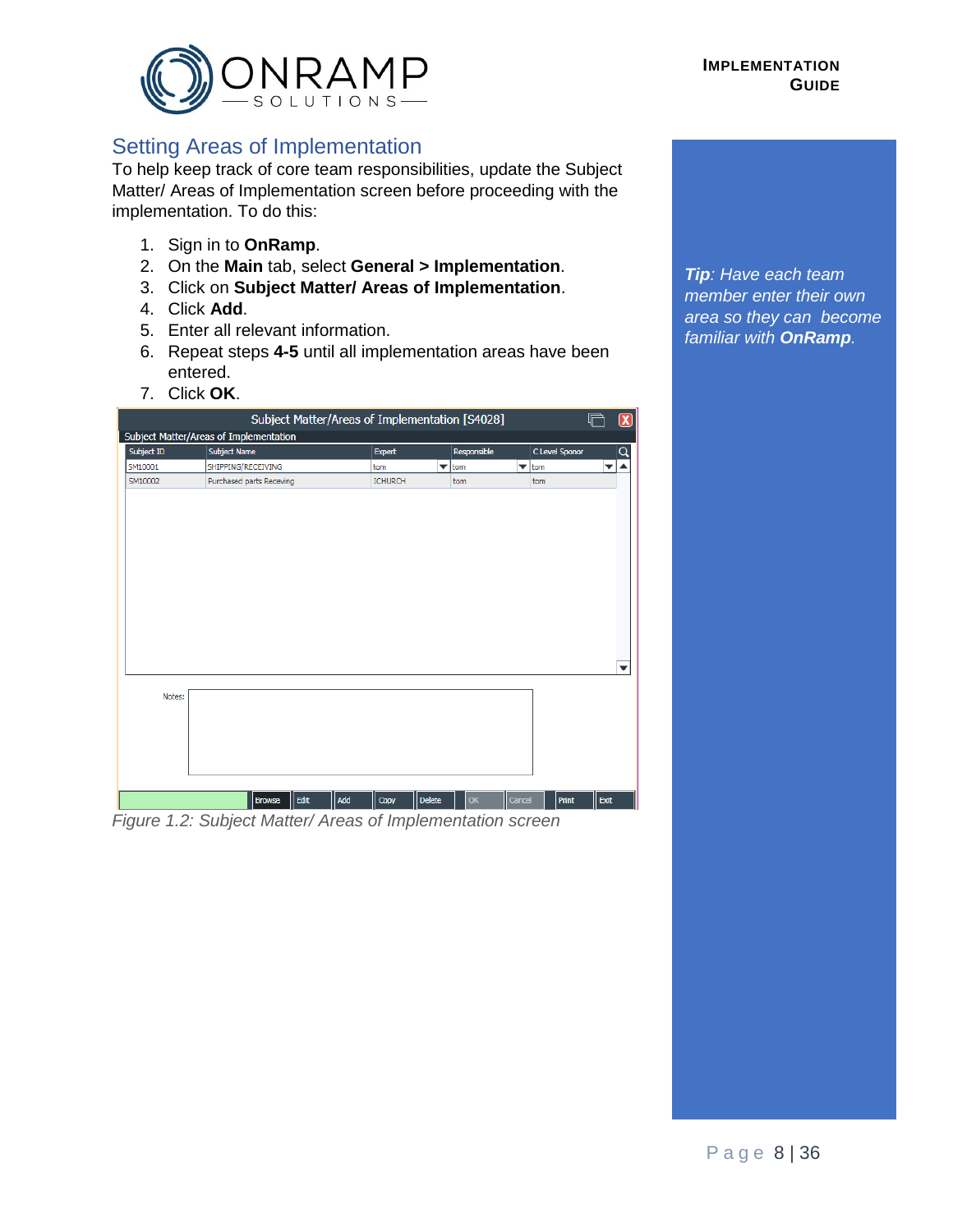

# <span id="page-7-0"></span>Setting Areas of Implementation

To help keep track of core team responsibilities, update the Subject Matter/ Areas of Implementation screen before proceeding with the implementation. To do this:

- 1. Sign in to **OnRamp**.
- 2. On the **Main** tab, select **General > Implementation**.
- 3. Click on **Subject Matter/ Areas of Implementation**.
- 4. Click **Add**.
- 5. Enter all relevant information.
- 6. Repeat steps **4-5** until all implementation areas have been entered.
- 7. Click **OK**.

| Subject ID | <b>Subject Name</b>      | <b>Expert</b>  |                          | Responsible | C Level Sponor           | Q |
|------------|--------------------------|----------------|--------------------------|-------------|--------------------------|---|
| SM10001    | SHIPPING/RECEIVING       | tom            | $\overline{\phantom{a}}$ | tom         | $\blacktriangledown$ tom |   |
| SM10002    | Purchased parts Receving | <b>ICHURCH</b> |                          | tom         | tom                      |   |
|            |                          |                |                          |             |                          |   |
|            |                          |                |                          |             |                          |   |
|            |                          |                |                          |             |                          |   |
|            |                          |                |                          |             |                          |   |
|            |                          |                |                          |             |                          |   |
|            |                          |                |                          |             |                          |   |
|            |                          |                |                          |             |                          |   |
|            |                          |                |                          |             |                          |   |
|            |                          |                |                          |             |                          |   |
|            |                          |                |                          |             |                          |   |
|            |                          |                |                          |             |                          |   |
|            |                          |                |                          |             |                          |   |
|            |                          |                |                          |             |                          |   |
|            |                          |                |                          |             |                          |   |
|            |                          |                |                          |             |                          |   |
|            |                          |                |                          |             |                          |   |
| Notes:     |                          |                |                          |             |                          |   |
|            |                          |                |                          |             |                          |   |
|            |                          |                |                          |             |                          |   |
|            |                          |                |                          |             |                          | ▼ |
|            |                          |                |                          |             |                          |   |
|            |                          |                |                          |             |                          |   |

*Tip: Have each team member enter their own area so they can become familiar with OnRamp.*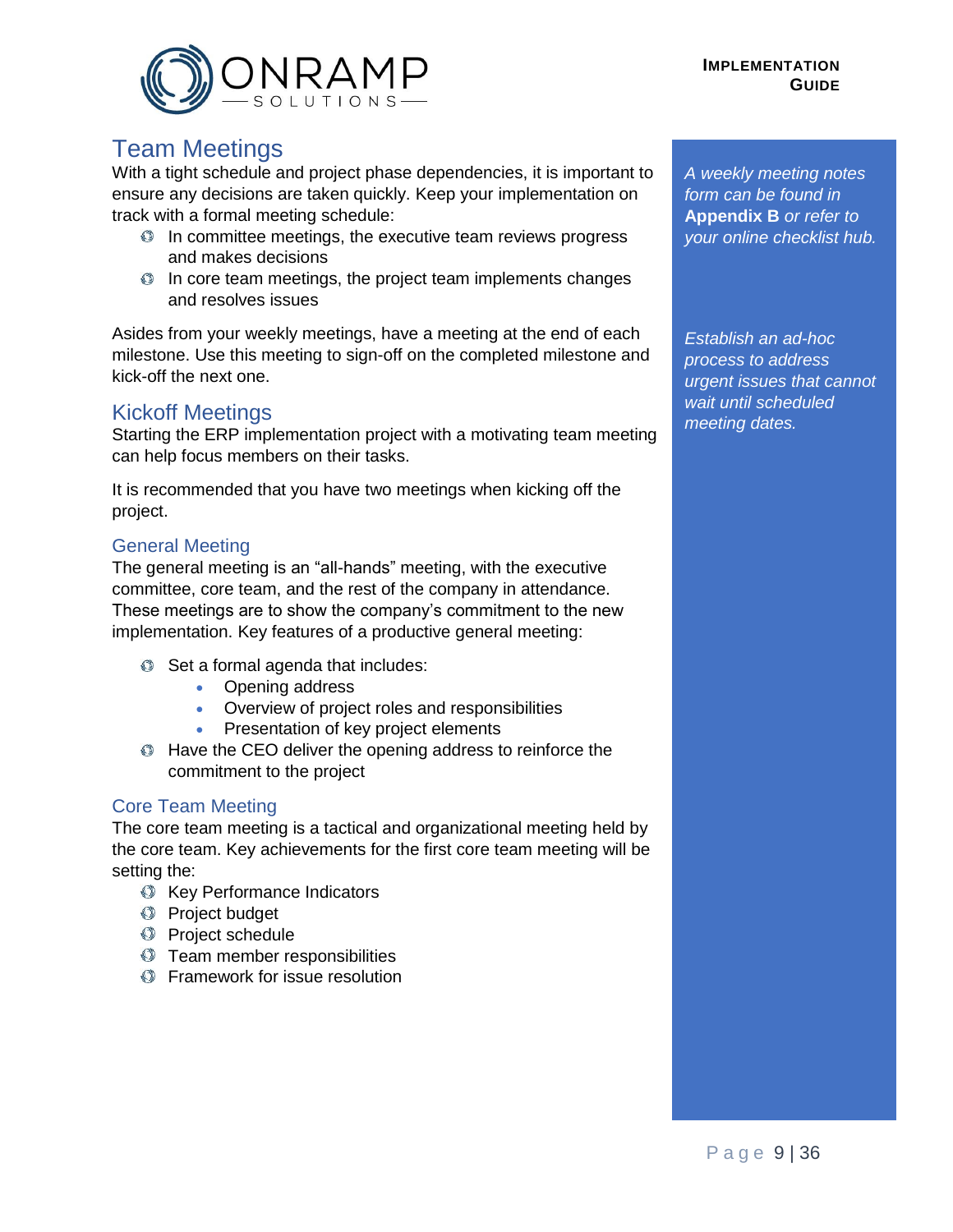



# <span id="page-8-0"></span>Team Meetings

With a tight schedule and project phase dependencies, it is important to ensure any decisions are taken quickly. Keep your implementation on track with a formal meeting schedule:

- $\bullet$  In committee meetings, the executive team reviews progress and makes decisions
- $\bullet$  In core team meetings, the project team implements changes and resolves issues

Asides from your weekly meetings, have a meeting at the end of each milestone. Use this meeting to sign-off on the completed milestone and kick-off the next one.

#### <span id="page-8-1"></span>Kickoff Meetings

Starting the ERP implementation project with a motivating team meeting can help focus members on their tasks.

It is recommended that you have two meetings when kicking off the project.

#### General Meeting

The general meeting is an "all-hands" meeting, with the executive committee, core team, and the rest of the company in attendance. These meetings are to show the company's commitment to the new implementation. Key features of a productive general meeting:

- $\bullet$  Set a formal agenda that includes:
	- Opening address
	- Overview of project roles and responsibilities
	- Presentation of key project elements
- $\bullet$  Have the CEO deliver the opening address to reinforce the commitment to the project

#### Core Team Meeting

The core team meeting is a tactical and organizational meeting held by the core team. Key achievements for the first core team meeting will be setting the:

- **Key Performance Indicators**
- **Project budget**
- **Project schedule**
- **Team member responsibilities**
- **S** Framework for issue resolution

*A weekly meeting notes form can be found in*  **Appendix B** *or refer to your online checklist hub.*

*Establish an ad-hoc process to address urgent issues that cannot wait until scheduled meeting dates.*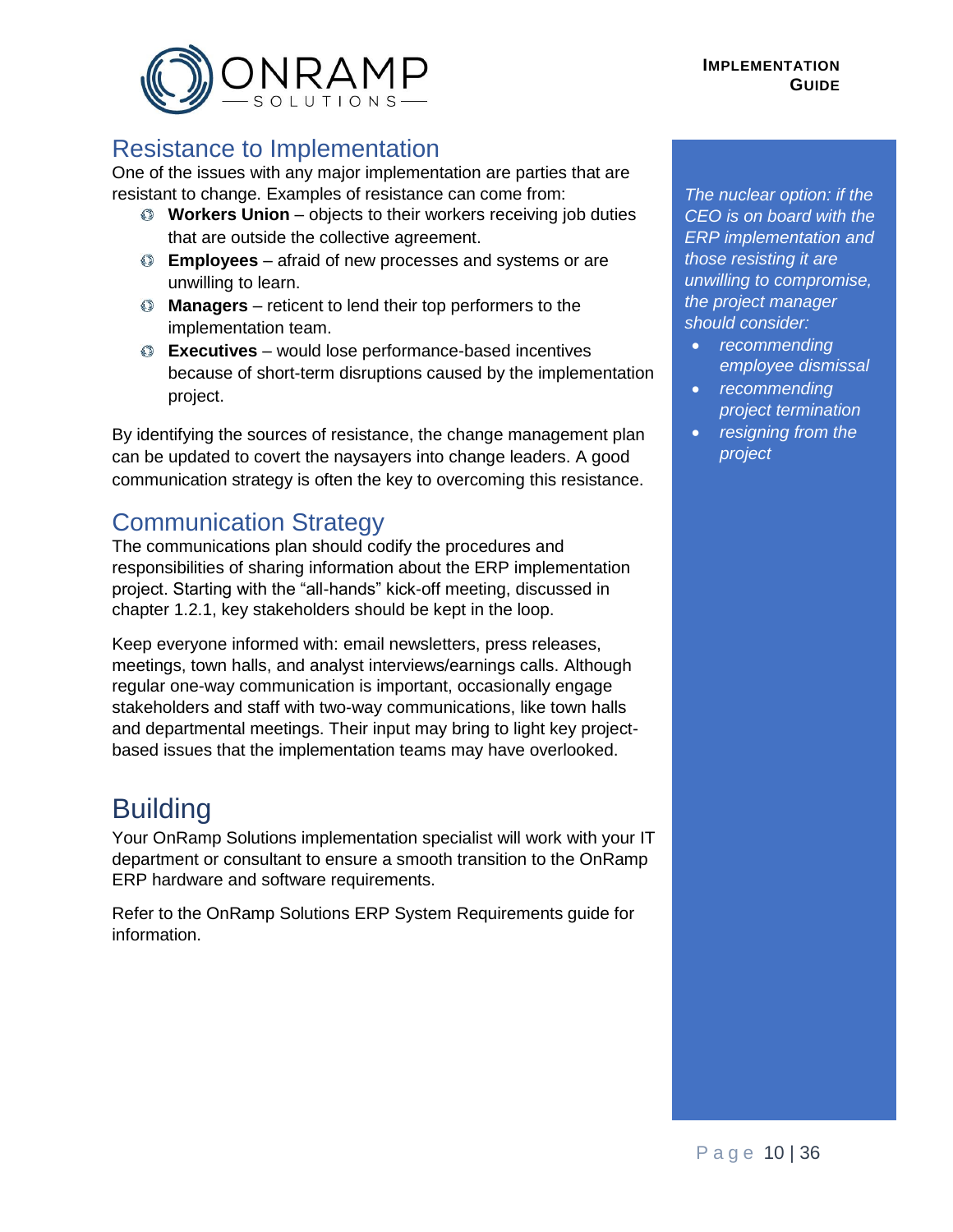# <span id="page-9-0"></span>Resistance to Implementation

One of the issues with any major implementation are parties that are resistant to change. Examples of resistance can come from:

- **Workers Union** objects to their workers receiving job duties that are outside the collective agreement.
- **Employees** afraid of new processes and systems or are unwilling to learn.
- **Managers** reticent to lend their top performers to the implementation team.
- **Executives** would lose performance-based incentives because of short-term disruptions caused by the implementation project.

By identifying the sources of resistance, the change management plan can be updated to covert the naysayers into change leaders. A good communication strategy is often the key to overcoming this resistance.

# <span id="page-9-1"></span>Communication Strategy

The communications plan should codify the procedures and responsibilities of sharing information about the ERP implementation project. Starting with the "all-hands" kick-off meeting, discussed in chapter 1.2.1, key stakeholders should be kept in the loop.

Keep everyone informed with: email newsletters, press releases, meetings, town halls, and analyst interviews/earnings calls. Although regular one-way communication is important, occasionally engage stakeholders and staff with two-way communications, like town halls and departmental meetings. Their input may bring to light key projectbased issues that the implementation teams may have overlooked.

# <span id="page-9-2"></span>**Building**

Your OnRamp Solutions implementation specialist will work with your IT department or consultant to ensure a smooth transition to the OnRamp ERP hardware and software requirements.

Refer to the OnRamp Solutions ERP System Requirements guide for information.

*The nuclear option: if the CEO is on board with the ERP implementation and those resisting it are unwilling to compromise, the project manager should consider:*

- *recommending employee dismissal*
- *recommending project termination*
- *resigning from the project*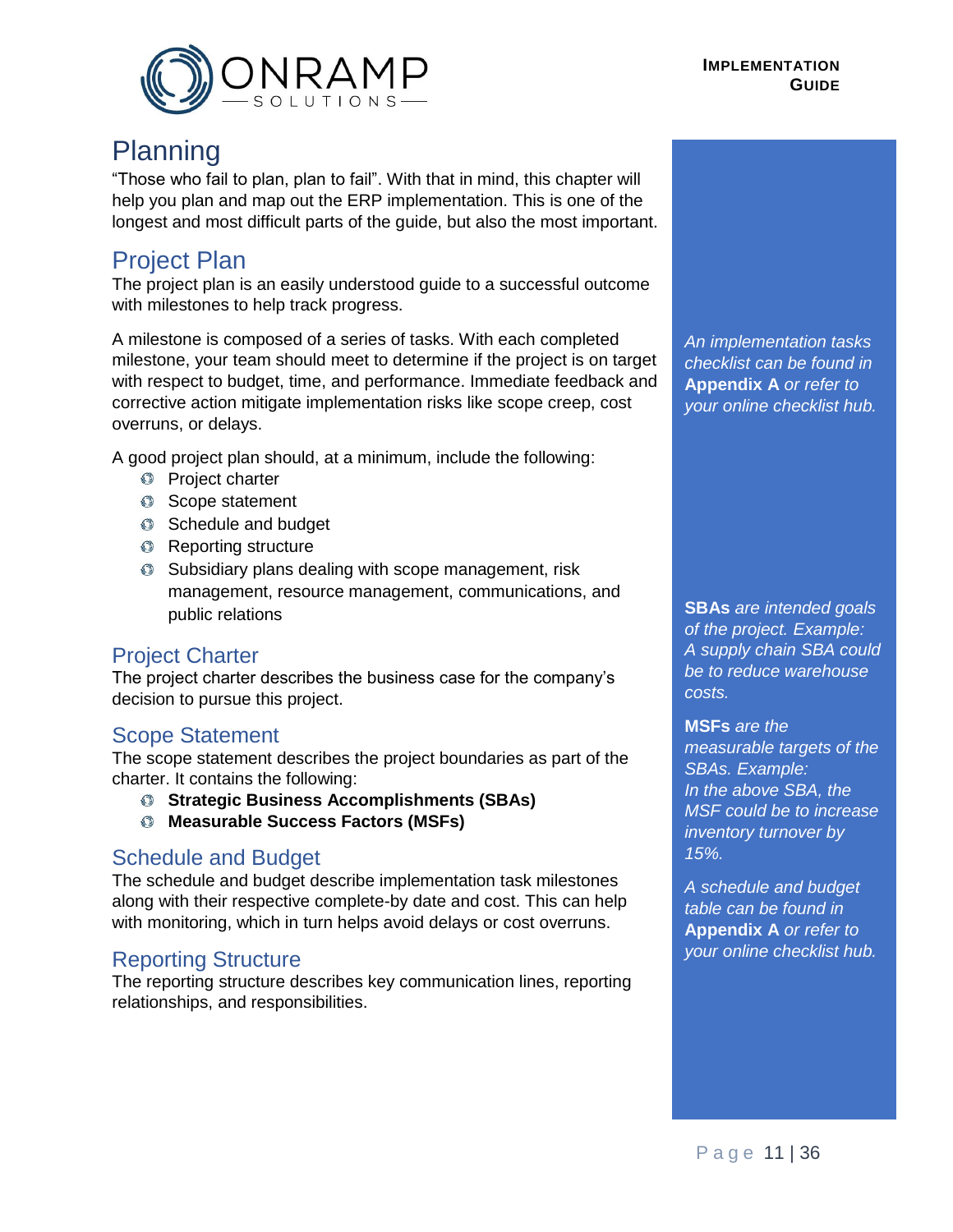

# <span id="page-10-0"></span>Planning

"Those who fail to plan, plan to fail". With that in mind, this chapter will help you plan and map out the ERP implementation. This is one of the longest and most difficult parts of the guide, but also the most important.

# <span id="page-10-1"></span>Project Plan

The project plan is an easily understood guide to a successful outcome with milestones to help track progress.

A milestone is composed of a series of tasks. With each completed milestone, your team should meet to determine if the project is on target with respect to budget, time, and performance. Immediate feedback and corrective action mitigate implementation risks like scope creep, cost overruns, or delays.

A good project plan should, at a minimum, include the following:

- **Project charter**
- Scope statement
- Schedule and budget
- **C** Reporting structure
- Subsidiary plans dealing with scope management, risk management, resource management, communications, and public relations

#### <span id="page-10-2"></span>Project Charter

The project charter describes the business case for the company's decision to pursue this project.

#### <span id="page-10-3"></span>Scope Statement

The scope statement describes the project boundaries as part of the charter. It contains the following:

- **Strategic Business Accomplishments (SBAs)**
- **Measurable Success Factors (MSFs)**

#### <span id="page-10-4"></span>Schedule and Budget

The schedule and budget describe implementation task milestones along with their respective complete-by date and cost. This can help with monitoring, which in turn helps avoid delays or cost overruns.

#### <span id="page-10-5"></span>Reporting Structure

The reporting structure describes key communication lines, reporting relationships, and responsibilities.

*An implementation tasks checklist can be found in*  **Appendix A** *or refer to your online checklist hub.*

**SBAs** *are intended goals of the project. Example: A supply chain SBA could be to reduce warehouse costs.*

**MSFs** *are the measurable targets of the SBAs. Example: In the above SBA, the MSF could be to increase inventory turnover by 15%.*

*A schedule and budget table can be found in*  **Appendix A** *or refer to your online checklist hub.*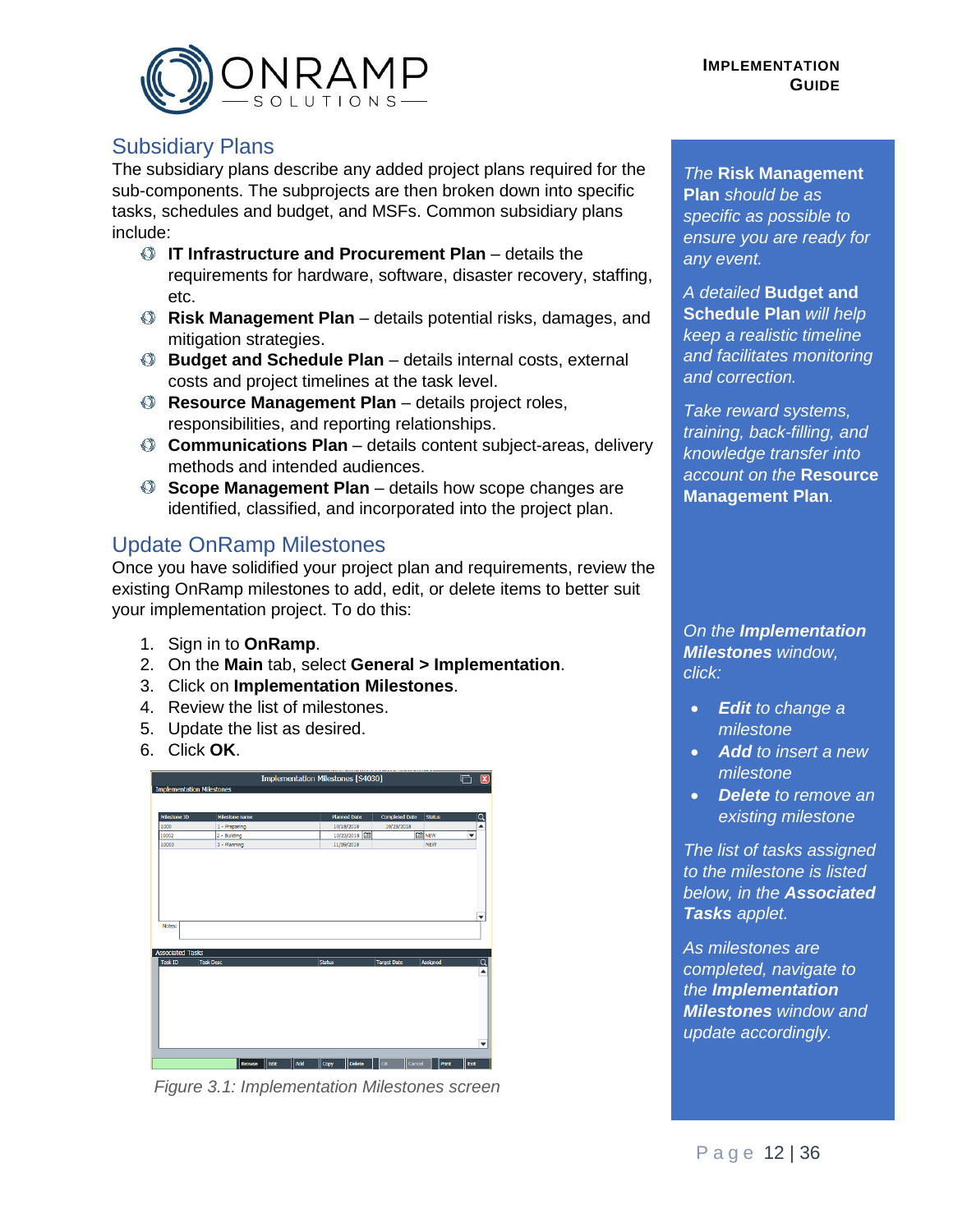



#### <span id="page-11-0"></span>Subsidiary Plans

The subsidiary plans describe any added project plans required for the sub-components. The subprojects are then broken down into specific tasks, schedules and budget, and MSFs. Common subsidiary plans include:

- **IT Infrastructure and Procurement Plan** details the requirements for hardware, software, disaster recovery, staffing, etc.
- **Risk Management Plan** details potential risks, damages, and mitigation strategies.
- **Budget and Schedule Plan** details internal costs, external costs and project timelines at the task level.
- **Resource Management Plan** details project roles, responsibilities, and reporting relationships.
- **Communications Plan** details content subject-areas, delivery methods and intended audiences.
- **Scope Management Plan** details how scope changes are identified, classified, and incorporated into the project plan.

# <span id="page-11-1"></span>Update OnRamp Milestones

Once you have solidified your project plan and requirements, review the existing OnRamp milestones to add, edit, or delete items to better suit your implementation project. To do this:

- 1. Sign in to **OnRamp**.
- 2. On the **Main** tab, select **General > Implementation**.
- 3. Click on **Implementation Milestones**.
- 4. Review the list of milestones.
- 5. Update the list as desired.
- 6. Click **OK**.



*Figure 3.1: Implementation Milestones screen*

*The* **Risk Management Plan** *should be as specific as possible to ensure you are ready for any event.*

*A detailed* **Budget and Schedule Plan** *will help keep a realistic timeline and facilitates monitoring and correction.*

*Take reward systems, training, back-filling, and knowledge transfer into account on the* **Resource Management Plan***.*

*On the Implementation Milestones window, click:*

- *Edit to change a milestone*
- *Add to insert a new milestone*
- *Delete to remove an existing milestone*

*The list of tasks assigned to the milestone is listed below, in the Associated Tasks applet.* 

*As milestones are completed, navigate to the Implementation Milestones window and update accordingly.*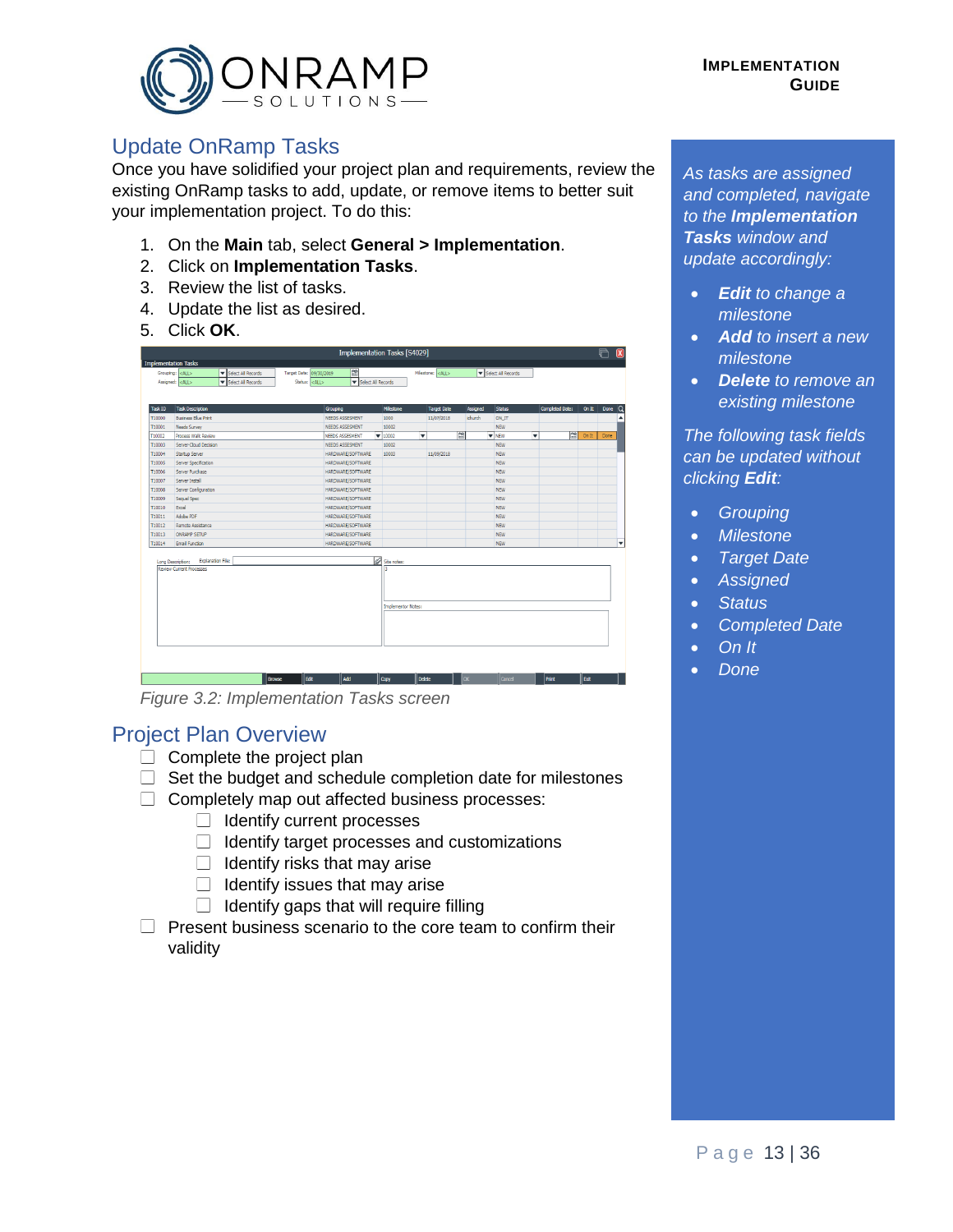

### <span id="page-12-0"></span>Update OnRamp Tasks

Once you have solidified your project plan and requirements, review the existing OnRamp tasks to add, update, or remove items to better suit your implementation project. To do this:

- 1. On the **Main** tab, select **General > Implementation**.
- 2. Click on **Implementation Tasks**.
- 3. Review the list of tasks.
- 4. Update the list as desired.
- 5. Click **OK**.

|                      |                                              |                         | Implementation Tasks [S4029] |   |                           |        |                        |           |                          |                    |                 |                 |          | $\mathbf{\overline{x}}$ |
|----------------------|----------------------------------------------|-------------------------|------------------------------|---|---------------------------|--------|------------------------|-----------|--------------------------|--------------------|-----------------|-----------------|----------|-------------------------|
| Implementation Tasks |                                              |                         |                              |   |                           |        |                        |           |                          |                    |                 |                 |          |                         |
|                      | Grouping: <all><br/>Select All Records</all> | Target Date: 09/30/2019 | Ġ                            |   |                           |        | Milestone: <all></all> |           |                          | Select All Records |                 |                 |          |                         |
|                      | Assigned: <all><br/>Select All Records</all> | Status: <all></all>     | Select All Records           |   |                           |        |                        |           |                          |                    |                 |                 |          |                         |
|                      |                                              |                         |                              |   |                           |        |                        |           |                          |                    |                 |                 |          |                         |
|                      |                                              |                         |                              |   |                           |        |                        |           |                          |                    |                 |                 |          |                         |
| Task ID              | <b>Task Description</b>                      |                         | Grouping                     |   | Milestone                 |        | <b>Target Date</b>     | Assigned  |                          | Status             | Completed Date: | On $R$          | Done $Q$ |                         |
| T10000               | <b>Business Blue Print</b>                   |                         | NEEDS ASSESMENT              |   | 1000                      |        | 11/07/2018             | ichurch   |                          | ON IT              |                 |                 |          | ▲                       |
| T10001               | <b>Needs Survey</b>                          |                         | NEEDS ASSESMENT              |   | 10002                     |        |                        |           |                          | <b>NEW</b>         |                 |                 |          |                         |
| T10002               | Process Walk Review                          |                         | NEEDS ASSESMENT              |   | $-10002$                  | v      |                        | 甴         | $\blacktriangledown$ NEW | v                  | 曽               | On <sub>R</sub> | Done     |                         |
| T10003               | Server-Cloud Decision                        |                         | NEEDS ASSESMENT              |   | 10002                     |        |                        |           |                          | <b>NEW</b>         |                 |                 |          |                         |
| T10004               | Startup Server                               |                         | HARDWARE/SOFTWARE            |   | 10003                     |        | 11/09/2018             |           |                          | <b>NEW</b>         |                 |                 |          |                         |
| T10005               | Server Specification                         |                         | HARDWARE/SOFTWARE            |   |                           |        |                        |           |                          | <b>NEW</b>         |                 |                 |          |                         |
| T10006               | Server Purchase                              |                         | HARDWARE/SOFTWARE            |   |                           |        |                        |           |                          | <b>NEW</b>         |                 |                 |          |                         |
| T10007               | Server Install                               |                         | HARDWARE/SOFTWARE            |   |                           |        |                        |           |                          | <b>NEW</b>         |                 |                 |          |                         |
| T10008               | Server Configuration                         |                         | HARDWARE/SOFTWARE            |   |                           |        |                        |           |                          | <b>NEW</b>         |                 |                 |          |                         |
| T10009               | Sequel Spec                                  |                         | HARDWARE/SOFTWARE            |   |                           |        |                        |           |                          | <b>NEW</b>         |                 |                 |          |                         |
| T10010               | Excel                                        |                         | HARDWARE/SOFTWARE            |   |                           |        |                        |           |                          | <b>NEW</b>         |                 |                 |          |                         |
| T10011               | Adobe PDF                                    |                         | HARDWARE/SOFTWARE            |   |                           |        |                        |           |                          | <b>NEW</b>         |                 |                 |          |                         |
| T10012               | Remote Assistance                            |                         | HARDWARE/SOFTWARE            |   |                           |        |                        |           |                          | <b>NEW</b>         |                 |                 |          |                         |
| T10013               | ONRAMP SETUP                                 |                         | HARDWARE/SOFTWARE            |   |                           |        |                        |           |                          | <b>NEW</b>         |                 |                 |          |                         |
| T10014               | <b>Email Function</b>                        |                         | HARDWARE/SOFTWARE            |   |                           |        |                        |           |                          | <b>NEW</b>         |                 |                 |          | ▼                       |
|                      |                                              |                         |                              |   |                           |        |                        |           |                          |                    |                 |                 |          |                         |
| Long Description:    | Explanation File:                            |                         |                              | Ø | Site notes:               |        |                        |           |                          |                    |                 |                 |          |                         |
|                      | Review Current Processes                     |                         |                              |   | E                         |        |                        |           |                          |                    |                 |                 |          |                         |
|                      |                                              |                         |                              |   |                           |        |                        |           |                          |                    |                 |                 |          |                         |
|                      |                                              |                         |                              |   |                           |        |                        |           |                          |                    |                 |                 |          |                         |
|                      |                                              |                         |                              |   |                           |        |                        |           |                          |                    |                 |                 |          |                         |
|                      |                                              |                         |                              |   | <b>Implementor Notes:</b> |        |                        |           |                          |                    |                 |                 |          |                         |
|                      |                                              |                         |                              |   |                           |        |                        |           |                          |                    |                 |                 |          |                         |
|                      |                                              |                         |                              |   |                           |        |                        |           |                          |                    |                 |                 |          |                         |
|                      |                                              |                         |                              |   |                           |        |                        |           |                          |                    |                 |                 |          |                         |
|                      |                                              |                         |                              |   |                           |        |                        |           |                          |                    |                 |                 |          |                         |
|                      |                                              |                         |                              |   |                           |        |                        |           |                          |                    |                 |                 |          |                         |
|                      |                                              |                         |                              |   |                           |        |                        |           |                          |                    |                 |                 |          |                         |
|                      |                                              |                         |                              |   |                           |        |                        |           |                          |                    |                 |                 |          |                         |
|                      |                                              |                         |                              |   |                           |        |                        |           |                          |                    |                 |                 |          |                         |
|                      |                                              | Edit<br><b>Browse</b>   | Add                          |   | Copy                      | Delete |                        | <b>OK</b> |                          | Cancel             | Print           | <b>Exit</b>     |          |                         |

*Figure 3.2: Implementation Tasks screen*

#### Project Plan Overview

- $\Box$  Complete the project plan
- $\Box$  Set the budget and schedule completion date for milestones
- $\Box$  Completely map out affected business processes:
	- $\Box$  Identify current processes
	- $\Box$  Identify target processes and customizations
	- $\Box$  Identify risks that may arise
	- $\Box$  Identify issues that may arise
	- $\Box$  Identify gaps that will require filling
- $\Box$  Present business scenario to the core team to confirm their validity

*As tasks are assigned and completed, navigate to the Implementation Tasks window and update accordingly:*

- *Edit to change a milestone*
- *Add to insert a new milestone*
- *Delete to remove an existing milestone*

*The following task fields can be updated without clicking Edit:*

- *Grouping*
- *Milestone*
- *Target Date*
- *Assigned*
- *Status*
- *Completed Date*
- *On It*
- *Done*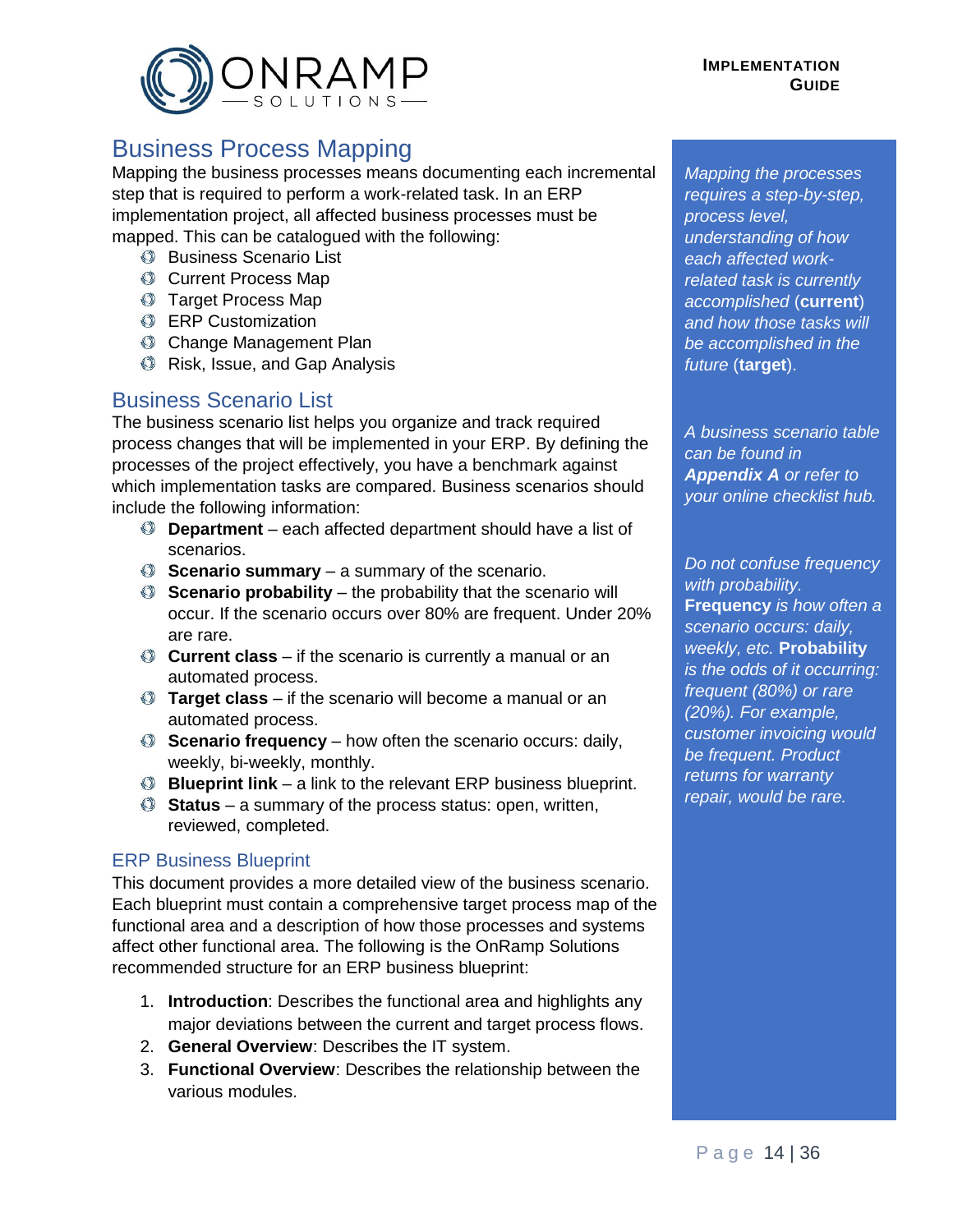

# <span id="page-13-0"></span>Business Process Mapping

Mapping the business processes means documenting each incremental step that is required to perform a work-related task. In an ERP implementation project, all affected business processes must be mapped. This can be catalogued with the following:

- **Business Scenario List**
- **Current Process Map**
- **Target Process Map**
- **ERP Customization**
- **Change Management Plan**
- **Risk, Issue, and Gap Analysis**

#### <span id="page-13-1"></span>Business Scenario List

The business scenario list helps you organize and track required process changes that will be implemented in your ERP. By defining the processes of the project effectively, you have a benchmark against which implementation tasks are compared. Business scenarios should include the following information:

- **Department** each affected department should have a list of scenarios.
- **Scenario summary** a summary of the scenario.
- **Scenario probability** the probability that the scenario will occur. If the scenario occurs over 80% are frequent. Under 20% are rare.
- **Current class** if the scenario is currently a manual or an automated process.
- **Target class** if the scenario will become a manual or an automated process.
- **Scenario frequency** how often the scenario occurs: daily, weekly, bi-weekly, monthly.
- **Blueprint link** a link to the relevant ERP business blueprint.
- **Status** a summary of the process status: open, written, reviewed, completed.

#### ERP Business Blueprint

This document provides a more detailed view of the business scenario. Each blueprint must contain a comprehensive target process map of the functional area and a description of how those processes and systems affect other functional area. The following is the OnRamp Solutions recommended structure for an ERP business blueprint:

- 1. **Introduction**: Describes the functional area and highlights any major deviations between the current and target process flows.
- 2. **General Overview**: Describes the IT system.
- 3. **Functional Overview**: Describes the relationship between the various modules.

*Mapping the processes requires a step-by-step, process level, understanding of how each affected workrelated task is currently accomplished* (**current**) *and how those tasks will be accomplished in the future* (**target**).

*A business scenario table can be found in Appendix A or refer to your online checklist hub.*

*Do not confuse frequency with probability.*  **Frequency** *is how often a scenario occurs: daily, weekly, etc.* **Probability** *is the odds of it occurring: frequent (80%) or rare (20%). For example, customer invoicing would be frequent. Product returns for warranty repair, would be rare.*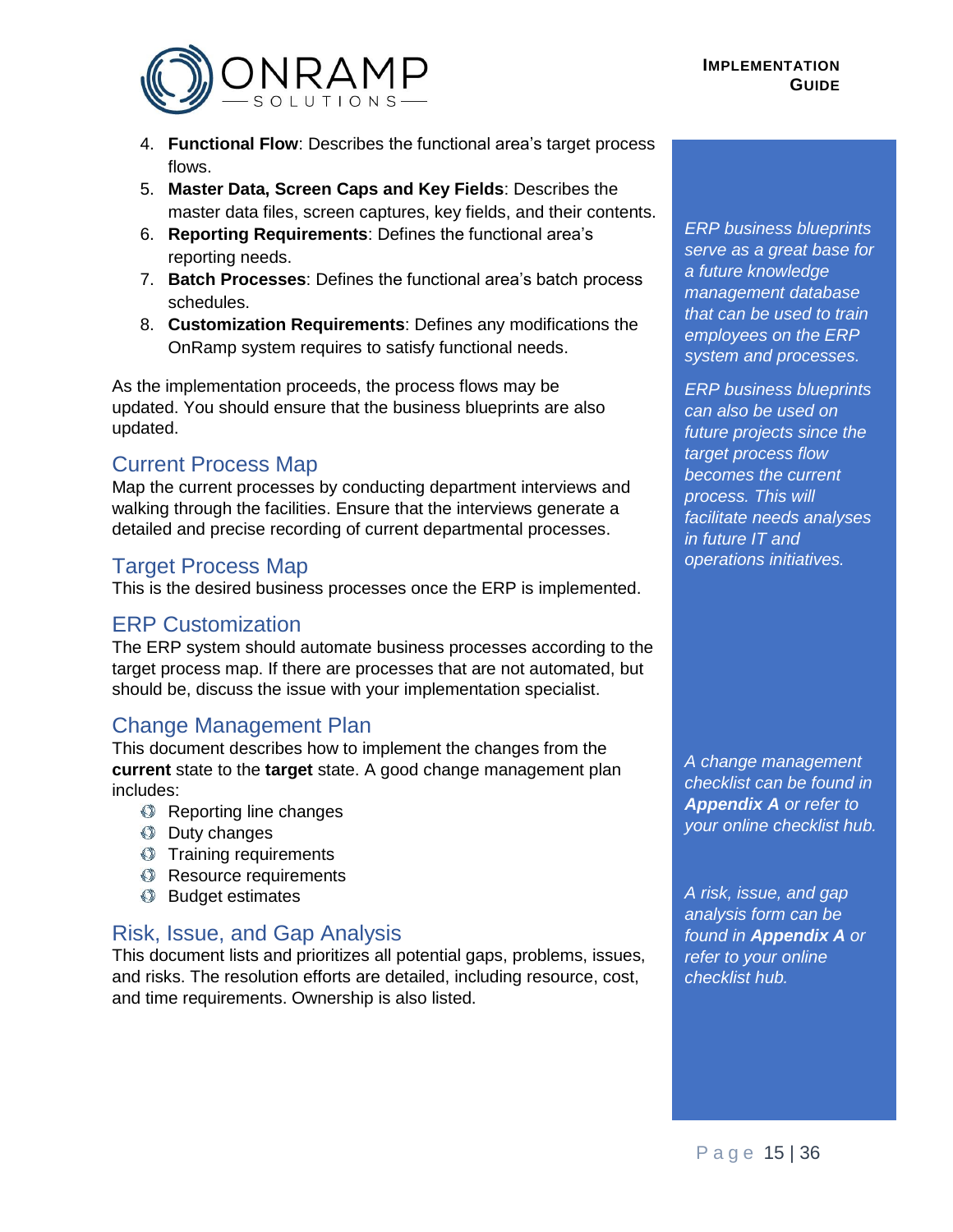

- 4. **Functional Flow**: Describes the functional area's target process flows.
- 5. **Master Data, Screen Caps and Key Fields**: Describes the master data files, screen captures, key fields, and their contents.
- 6. **Reporting Requirements**: Defines the functional area's reporting needs.
- 7. **Batch Processes**: Defines the functional area's batch process schedules.
- 8. **Customization Requirements**: Defines any modifications the OnRamp system requires to satisfy functional needs.

As the implementation proceeds, the process flows may be updated. You should ensure that the business blueprints are also updated.

#### <span id="page-14-0"></span>Current Process Map

Map the current processes by conducting department interviews and walking through the facilities. Ensure that the interviews generate a detailed and precise recording of current departmental processes.

#### <span id="page-14-1"></span>**Target Process Map**

This is the desired business processes once the ERP is implemented.

#### <span id="page-14-2"></span>ERP Customization

The ERP system should automate business processes according to the target process map. If there are processes that are not automated, but should be, discuss the issue with your implementation specialist.

#### <span id="page-14-3"></span>Change Management Plan

This document describes how to implement the changes from the **current** state to the **target** state. A good change management plan includes:

- **Reporting line changes**
- **C** Duty changes
- **Training requirements**
- **Resource requirements**
- **Budget estimates**

# <span id="page-14-4"></span>Risk, Issue, and Gap Analysis

This document lists and prioritizes all potential gaps, problems, issues, and risks. The resolution efforts are detailed, including resource, cost, and time requirements. Ownership is also listed.

*ERP business blueprints serve as a great base for a future knowledge management database that can be used to train employees on the ERP system and processes.*

*ERP business blueprints can also be used on future projects since the target process flow becomes the current process. This will facilitate needs analyses in future IT and operations initiatives.*

*A change management checklist can be found in Appendix A or refer to your online checklist hub.*

*A risk, issue, and gap analysis form can be found in Appendix A or refer to your online checklist hub.*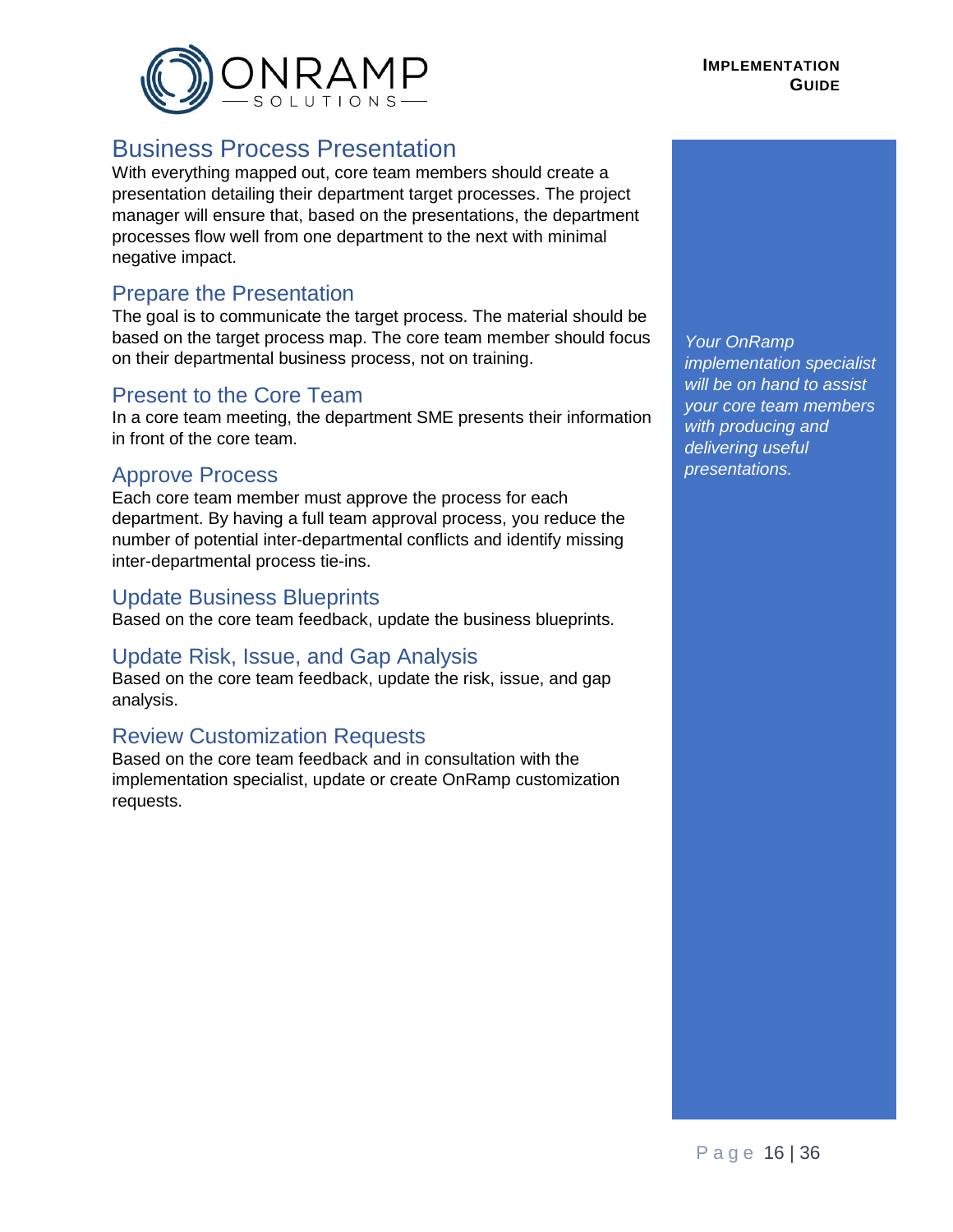

# <span id="page-15-0"></span>Business Process Presentation

With everything mapped out, core team members should create a presentation detailing their department target processes. The project manager will ensure that, based on the presentations, the department processes flow well from one department to the next with minimal negative impact.

#### <span id="page-15-1"></span>Prepare the Presentation

The goal is to communicate the target process. The material should be based on the target process map. The core team member should focus on their departmental business process, not on training.

#### <span id="page-15-2"></span>Present to the Core Team

In a core team meeting, the department SME presents their information in front of the core team.

### <span id="page-15-3"></span>Approve Process

Each core team member must approve the process for each department. By having a full team approval process, you reduce the number of potential inter-departmental conflicts and identify missing inter-departmental process tie-ins.

#### <span id="page-15-4"></span>Update Business Blueprints

Based on the core team feedback, update the business blueprints.

#### <span id="page-15-5"></span>Update Risk, Issue, and Gap Analysis

Based on the core team feedback, update the risk, issue, and gap analysis.

#### <span id="page-15-6"></span>Review Customization Requests

Based on the core team feedback and in consultation with the implementation specialist, update or create OnRamp customization requests.

*Your OnRamp implementation specialist will be on hand to assist your core team members with producing and delivering useful presentations.*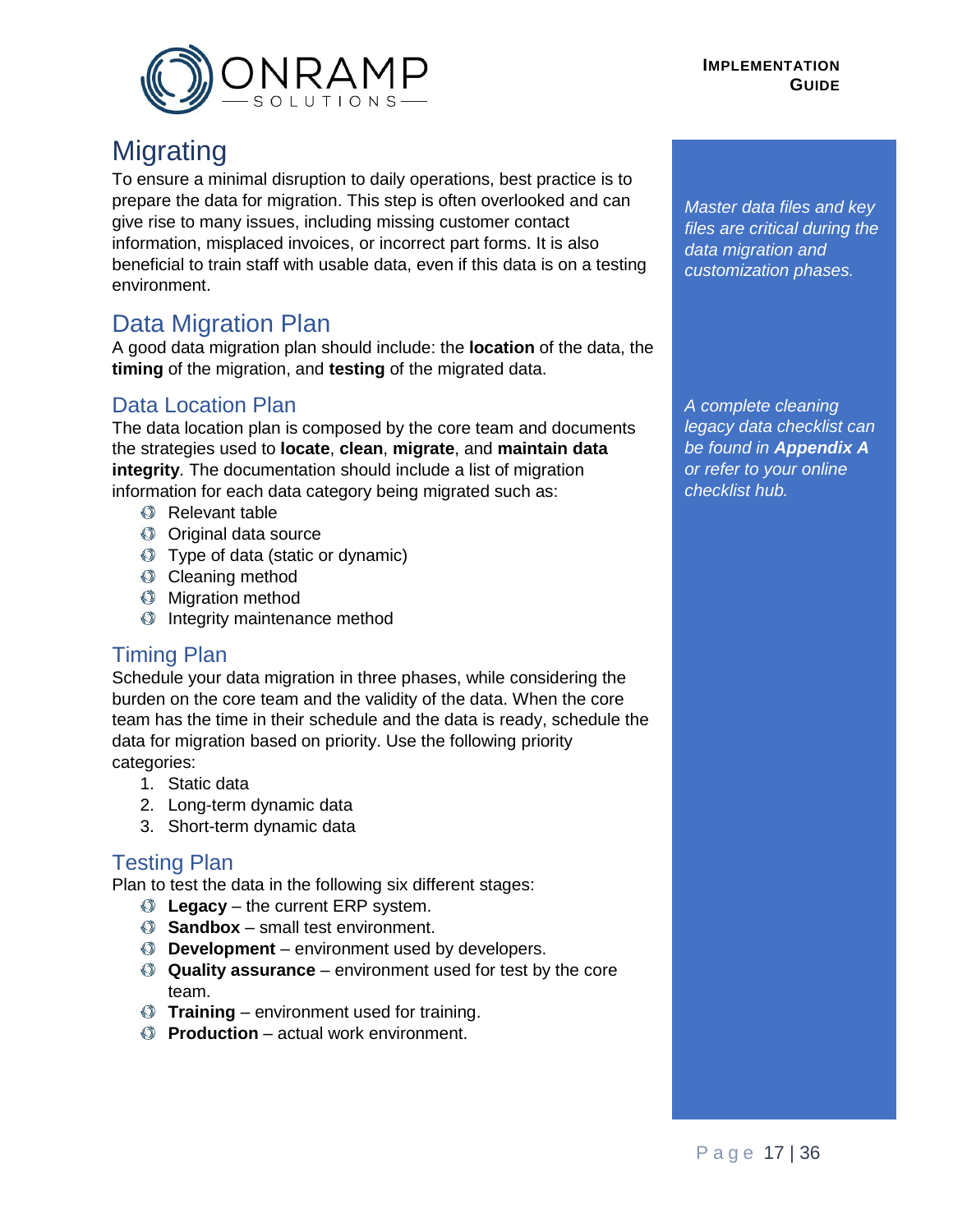<span id="page-16-0"></span>

# **Migrating**

To ensure a minimal disruption to daily operations, best practice is to prepare the data for migration. This step is often overlooked and can give rise to many issues, including missing customer contact information, misplaced invoices, or incorrect part forms. It is also beneficial to train staff with usable data, even if this data is on a testing environment.

# <span id="page-16-1"></span>Data Migration Plan

A good data migration plan should include: the **location** of the data, the **timing** of the migration, and **testing** of the migrated data.

# <span id="page-16-2"></span>Data Location Plan

The data location plan is composed by the core team and documents the strategies used to **locate**, **clean**, **migrate**, and **maintain data integrity**. The documentation should include a list of migration information for each data category being migrated such as:

- **Relevant table**
- Original data source
- Type of data (static or dynamic)
- Cleaning method
- **Migration method**
- **Integrity maintenance method**

#### <span id="page-16-3"></span>Timing Plan

Schedule your data migration in three phases, while considering the burden on the core team and the validity of the data. When the core team has the time in their schedule and the data is ready, schedule the data for migration based on priority. Use the following priority categories:

- 1. Static data
- 2. Long-term dynamic data
- 3. Short-term dynamic data

#### <span id="page-16-4"></span>Testing Plan

Plan to test the data in the following six different stages:

- **C** Legacy the current ERP system.
- **Sandbox** small test environment.
- **Development** environment used by developers.
- **Quality assurance** environment used for test by the core team.
- **Training** environment used for training.
- **Production** actual work environment.

*Master data files and key files are critical during the data migration and customization phases.*

*A complete cleaning legacy data checklist can be found in Appendix A or refer to your online checklist hub.*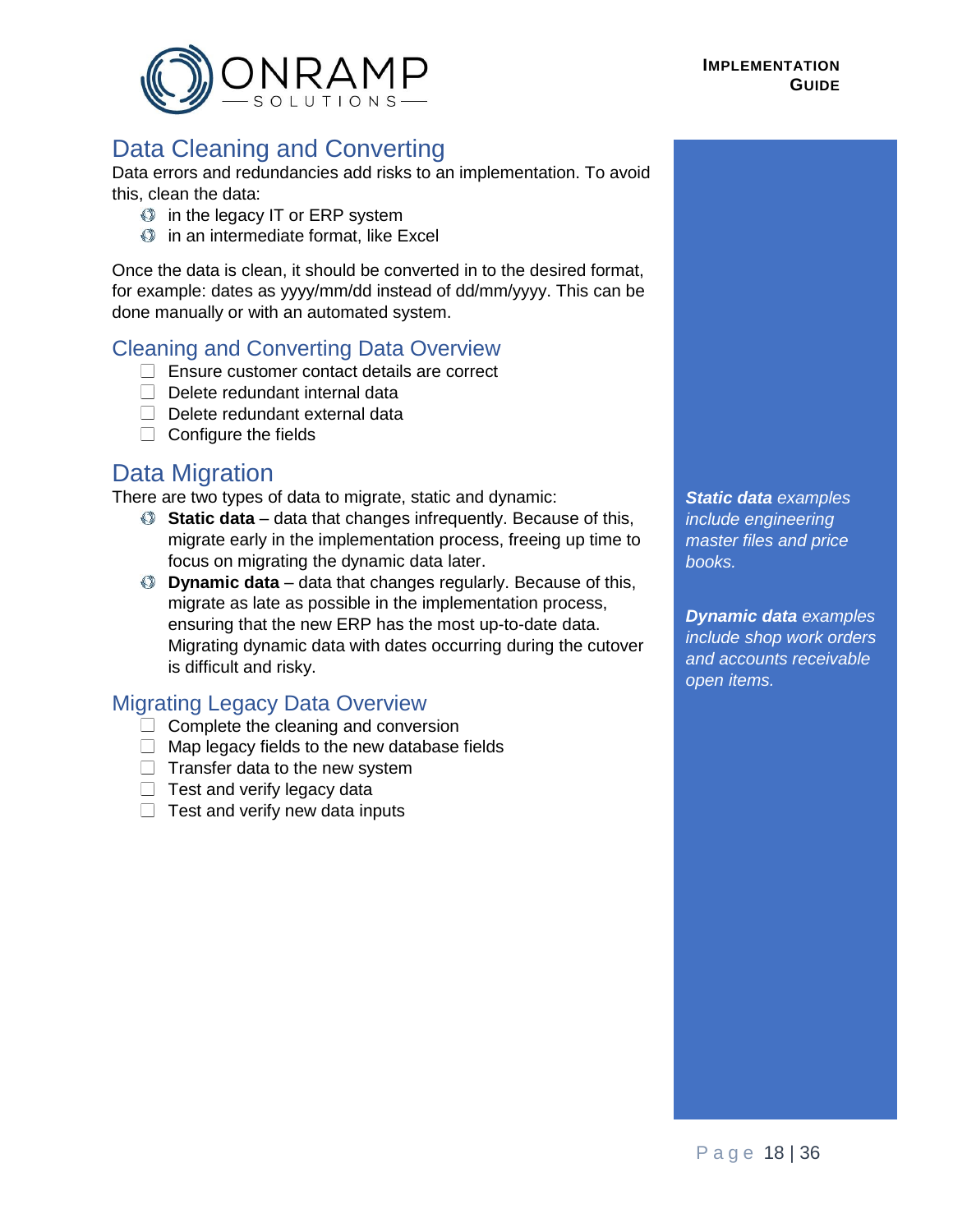

# <span id="page-17-0"></span>Data Cleaning and Converting

Data errors and redundancies add risks to an implementation. To avoid this, clean the data:

- $\bullet$  in the legacy IT or ERP system
- $\bullet$  in an intermediate format, like Excel

Once the data is clean, it should be converted in to the desired format, for example: dates as yyyy/mm/dd instead of dd/mm/yyyy. This can be done manually or with an automated system.

#### Cleaning and Converting Data Overview

- □ Ensure customer contact details are correct
- $\Box$  Delete redundant internal data
- $\Box$  Delete redundant external data
- $\Box$  Configure the fields

# <span id="page-17-1"></span>Data Migration

There are two types of data to migrate, static and dynamic:

- **Static data** data that changes infrequently. Because of this, migrate early in the implementation process, freeing up time to focus on migrating the dynamic data later.
- **Dynamic data** data that changes regularly. Because of this, migrate as late as possible in the implementation process, ensuring that the new ERP has the most up-to-date data. Migrating dynamic data with dates occurring during the cutover is difficult and risky.

#### Migrating Legacy Data Overview

- $\Box$  Complete the cleaning and conversion
- $\Box$  Map legacy fields to the new database fields
- $\Box$  Transfer data to the new system
- $\Box$  Test and verify legacy data
- $\Box$  Test and verify new data inputs

*Static data examples include engineering master files and price books.*

*Dynamic data examples include shop work orders and accounts receivable open items.*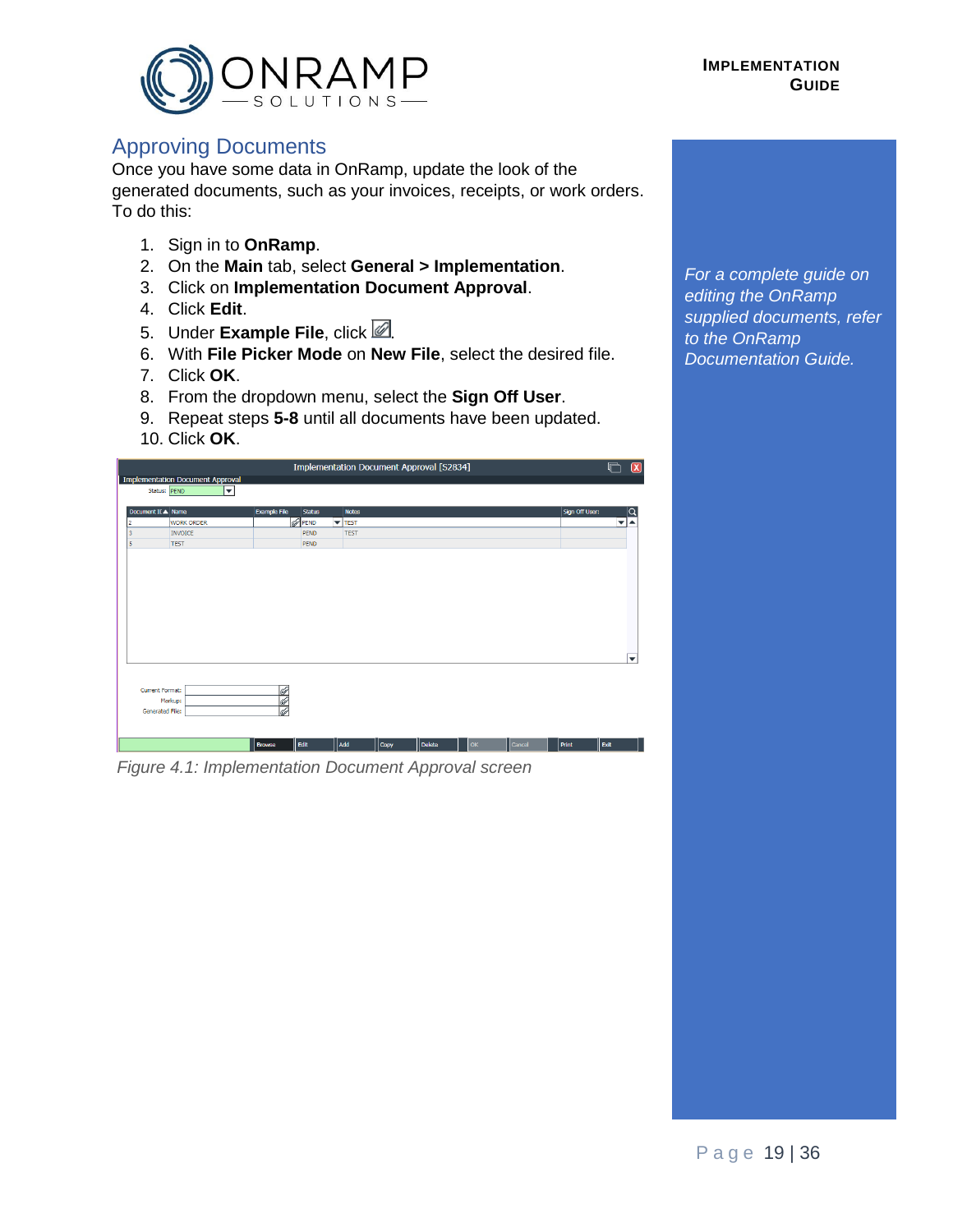

#### <span id="page-18-0"></span>Approving Documents

Once you have some data in OnRamp, update the look of the generated documents, such as your invoices, receipts, or work orders. To do this:

- 1. Sign in to **OnRamp**.
- 2. On the **Main** tab, select **General > Implementation**.
- 3. Click on **Implementation Document Approval**.
- 4. Click **Edit**.
- 5. Under **Example File**, click 2.
- 6. With **File Picker Mode** on **New File**, select the desired file.
- 7. Click **OK**.
- 8. From the dropdown menu, select the **Sign Off User**.
- 9. Repeat steps **5-8** until all documents have been updated.
- 10. Click **OK**.

|                                         |                      |                          |                   | Implementation Document Approval [S2834] |        |           |        |                |                                 |
|-----------------------------------------|----------------------|--------------------------|-------------------|------------------------------------------|--------|-----------|--------|----------------|---------------------------------|
| <b>Implementation Document Approval</b> |                      |                          |                   |                                          |        |           |        |                |                                 |
| Status: PEND                            | $\blacktriangledown$ |                          |                   |                                          |        |           |        |                |                                 |
|                                         |                      |                          |                   |                                          |        |           |        |                |                                 |
| Document II ▲ Name                      |                      | Example File             | <b>Status</b>     | <b>Notes</b>                             |        |           |        | Sign Off User: |                                 |
| <b>WORK ORDER</b><br><b>INVOICE</b>     |                      |                          | Ø<br>PEND<br>PEND | $\blacktriangledown$ TEST<br><b>TEST</b> |        |           |        |                | $\overline{\phantom{a}}$<br>▲   |
| <b>TEST</b>                             |                      |                          | PEND              |                                          |        |           |        |                |                                 |
|                                         |                      |                          |                   |                                          |        |           |        |                |                                 |
|                                         |                      |                          |                   |                                          |        |           |        |                |                                 |
|                                         |                      |                          |                   |                                          |        |           |        |                |                                 |
|                                         |                      |                          |                   |                                          |        |           |        |                |                                 |
|                                         |                      |                          |                   |                                          |        |           |        |                |                                 |
|                                         |                      |                          |                   |                                          |        |           |        |                |                                 |
|                                         |                      |                          |                   |                                          |        |           |        |                |                                 |
|                                         |                      |                          |                   |                                          |        |           |        |                |                                 |
|                                         |                      |                          |                   |                                          |        |           |        |                |                                 |
|                                         |                      |                          |                   |                                          |        |           |        |                |                                 |
|                                         |                      |                          |                   |                                          |        |           |        |                |                                 |
|                                         |                      |                          |                   |                                          |        |           |        |                |                                 |
|                                         |                      |                          |                   |                                          |        |           |        |                |                                 |
|                                         |                      |                          |                   |                                          |        |           |        |                |                                 |
|                                         |                      |                          |                   |                                          |        |           |        |                |                                 |
|                                         |                      |                          |                   |                                          |        |           |        |                |                                 |
|                                         |                      |                          |                   |                                          |        |           |        |                |                                 |
|                                         |                      |                          |                   |                                          |        |           |        |                |                                 |
|                                         |                      |                          |                   |                                          |        |           |        |                |                                 |
|                                         |                      |                          |                   |                                          |        |           |        |                |                                 |
|                                         |                      |                          |                   |                                          |        |           |        |                |                                 |
| <b>Current Format:</b>                  |                      | $\overline{\mathscr{Q}}$ |                   |                                          |        |           |        |                |                                 |
|                                         |                      |                          |                   |                                          |        |           |        |                |                                 |
| Markup:                                 |                      | Ø                        |                   |                                          |        |           |        |                |                                 |
| Generated File:                         |                      | Ø                        |                   |                                          |        |           |        |                |                                 |
|                                         |                      |                          |                   |                                          |        |           |        |                |                                 |
|                                         |                      |                          |                   |                                          |        |           |        |                |                                 |
|                                         |                      |                          |                   |                                          |        |           |        |                |                                 |
|                                         |                      | <b>Browse</b>            | Edit              | Add<br>Copy                              | Delete | <b>OK</b> | Cancel | Print          | $\overline{\mathbf{v}}$<br>Exit |

*Figure 4.1: Implementation Document Approval screen*

*For a complete guide on editing the OnRamp supplied documents, refer to the OnRamp Documentation Guide.*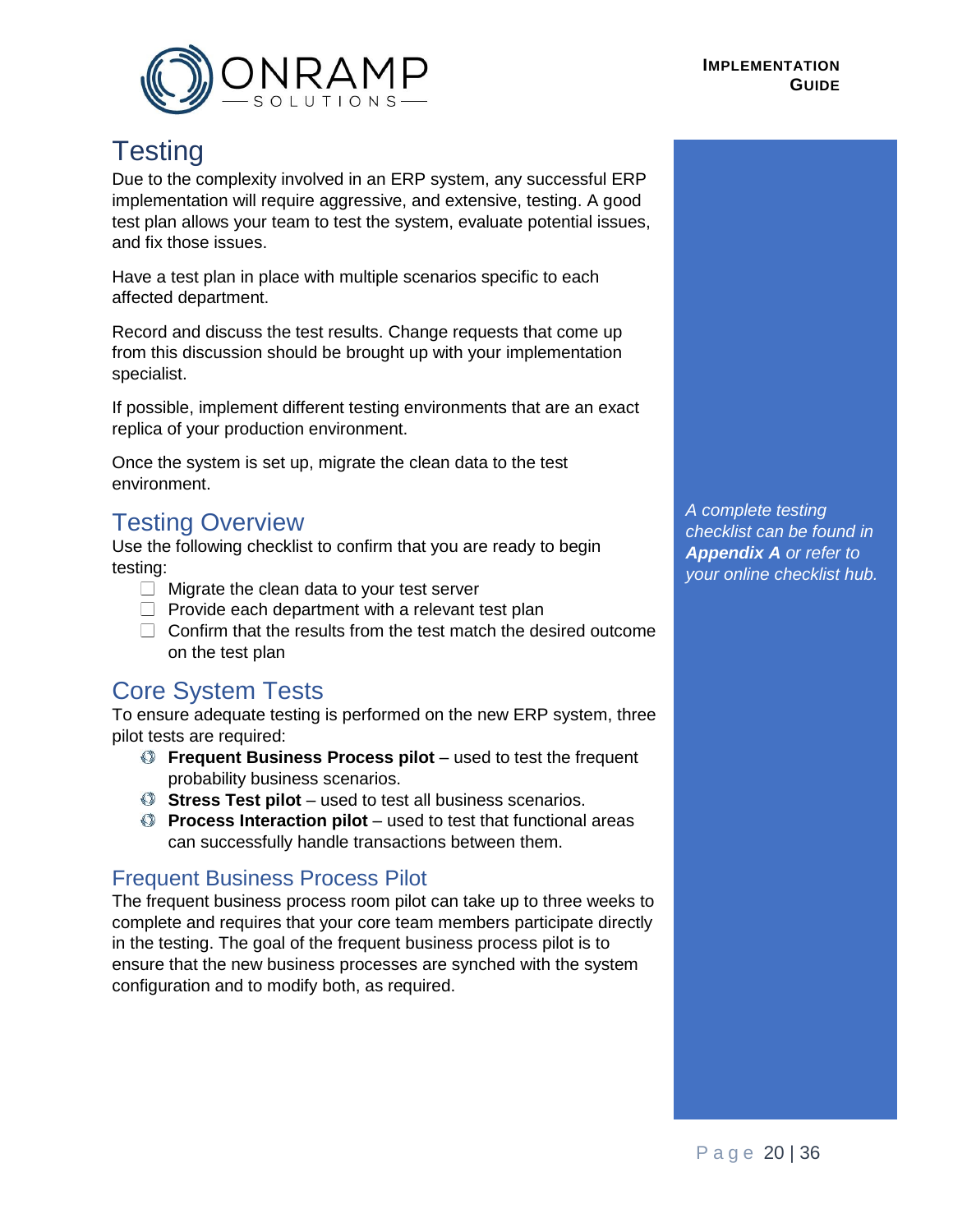

# <span id="page-19-0"></span>**Testing**

Due to the complexity involved in an ERP system, any successful ERP implementation will require aggressive, and extensive, testing. A good test plan allows your team to test the system, evaluate potential issues, and fix those issues.

Have a test plan in place with multiple scenarios specific to each affected department.

Record and discuss the test results. Change requests that come up from this discussion should be brought up with your implementation specialist.

If possible, implement different testing environments that are an exact replica of your production environment.

Once the system is set up, migrate the clean data to the test environment.

# Testing Overview

Use the following checklist to confirm that you are ready to begin testing:

- $\Box$  Migrate the clean data to your test server
- $\Box$  Provide each department with a relevant test plan
- $\Box$  Confirm that the results from the test match the desired outcome on the test plan

# <span id="page-19-1"></span>Core System Tests

To ensure adequate testing is performed on the new ERP system, three pilot tests are required:

- **Frequent Business Process pilot** used to test the frequent probability business scenarios.
- **Stress Test pilot**  used to test all business scenarios.
- **Process Interaction pilot** used to test that functional areas can successfully handle transactions between them.

#### <span id="page-19-2"></span>Frequent Business Process Pilot

The frequent business process room pilot can take up to three weeks to complete and requires that your core team members participate directly in the testing. The goal of the frequent business process pilot is to ensure that the new business processes are synched with the system configuration and to modify both, as required.

*A complete testing checklist can be found in Appendix A or refer to your online checklist hub.*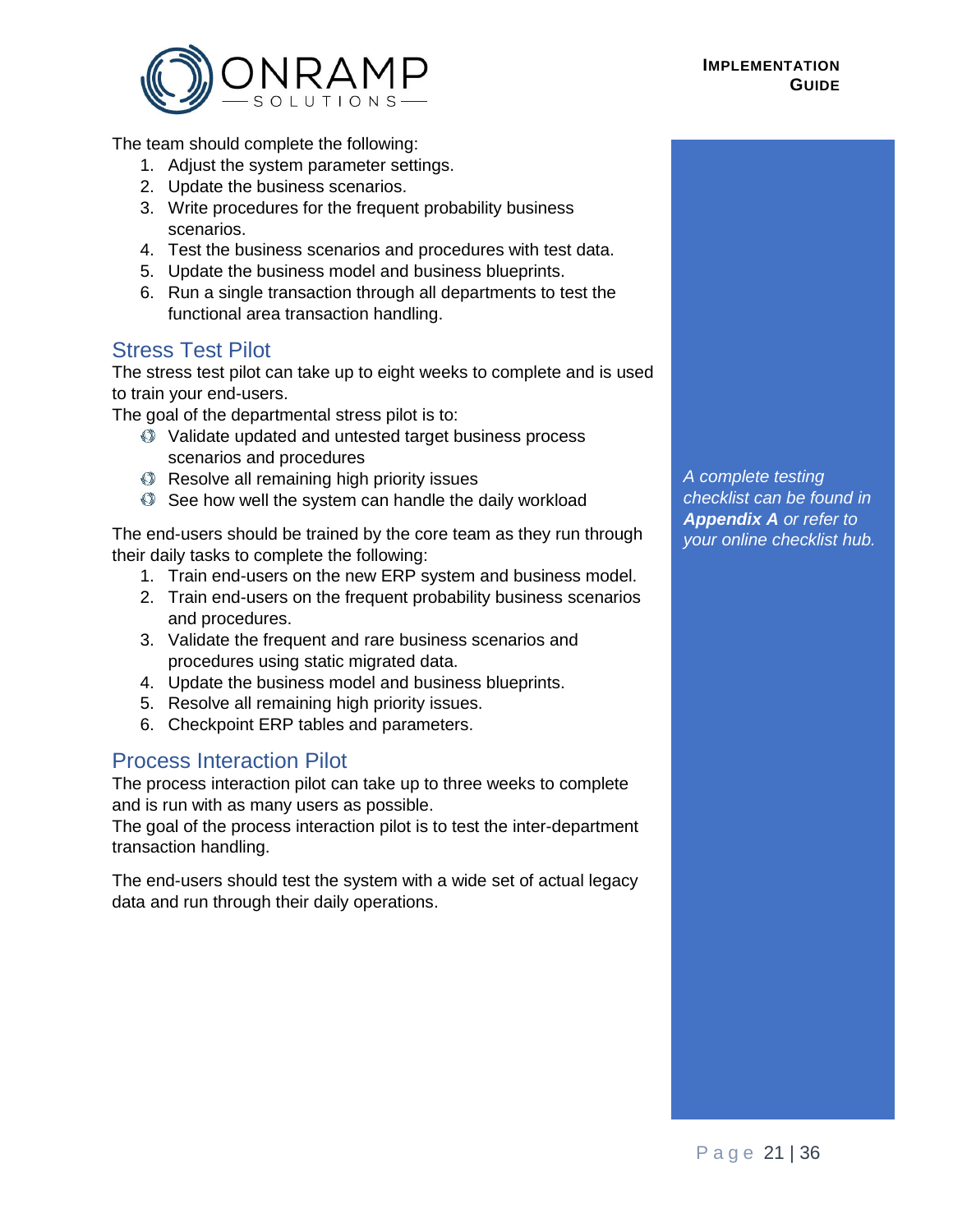#### **IMPLEMENTATION GUIDE**



The team should complete the following:

- 1. Adjust the system parameter settings.
- 2. Update the business scenarios.
- 3. Write procedures for the frequent probability business scenarios.
- 4. Test the business scenarios and procedures with test data.
- 5. Update the business model and business blueprints.
- 6. Run a single transaction through all departments to test the functional area transaction handling.

#### <span id="page-20-0"></span>Stress Test Pilot

The stress test pilot can take up to eight weeks to complete and is used to train your end-users.

The goal of the departmental stress pilot is to:

- Validate updated and untested target business process scenarios and procedures
- Resolve all remaining high priority issues
- See how well the system can handle the daily workload

The end-users should be trained by the core team as they run through their daily tasks to complete the following:

- 1. Train end-users on the new ERP system and business model.
- 2. Train end-users on the frequent probability business scenarios and procedures.
- 3. Validate the frequent and rare business scenarios and procedures using static migrated data.
- 4. Update the business model and business blueprints.
- 5. Resolve all remaining high priority issues.
- 6. Checkpoint ERP tables and parameters.

#### <span id="page-20-1"></span>Process Interaction Pilot

The process interaction pilot can take up to three weeks to complete and is run with as many users as possible.

The goal of the process interaction pilot is to test the inter-department transaction handling.

The end-users should test the system with a wide set of actual legacy data and run through their daily operations.

*A complete testing checklist can be found in Appendix A or refer to your online checklist hub.*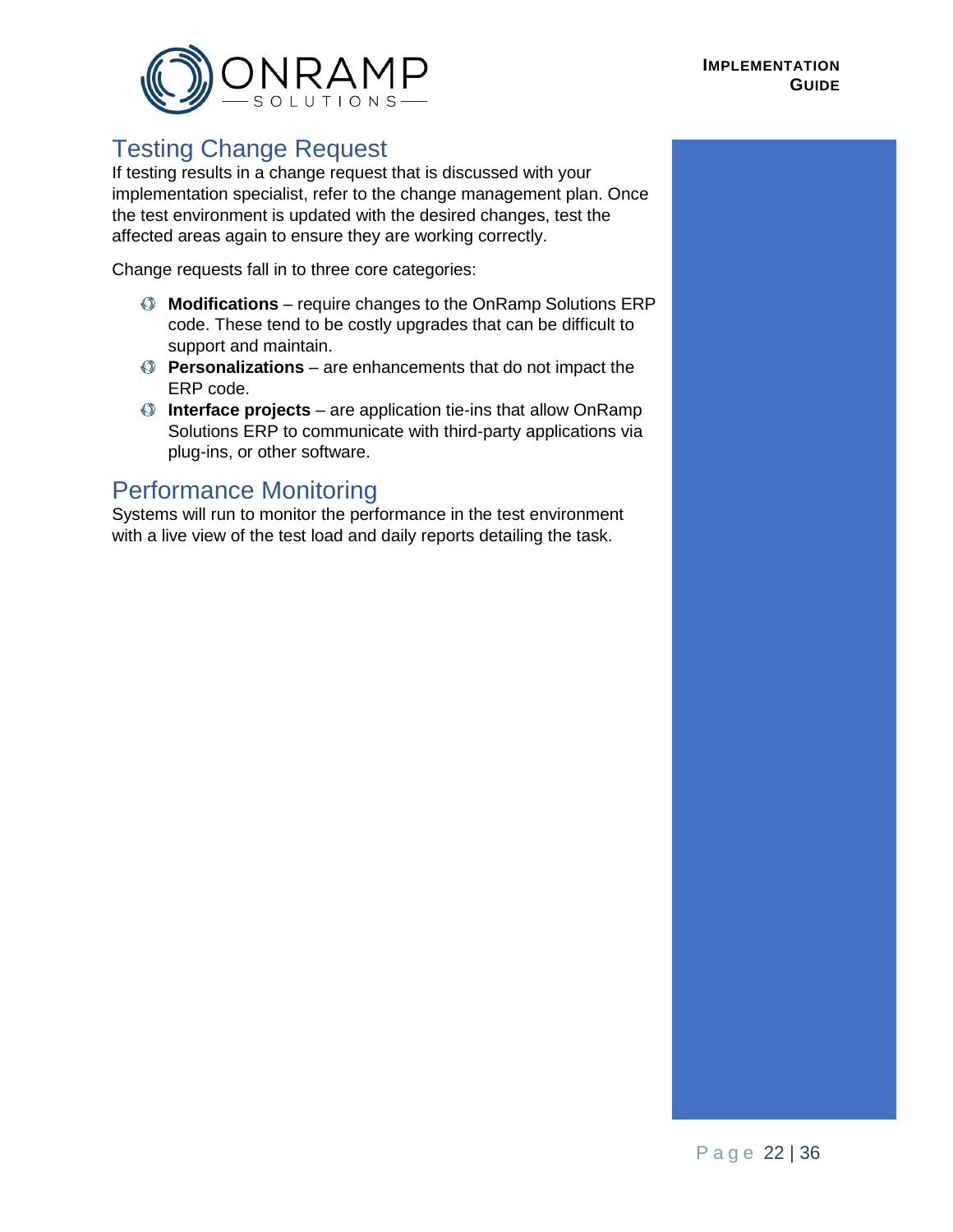

# <span id="page-21-0"></span>Testing Change Request

If testing results in a change request that is discussed with your implementation specialist, refer to the change management plan. Once the test environment is updated with the desired changes, test the affected areas again to ensure they are working correctly.

Change requests fall in to three core categories:

- **Modifications** require changes to the OnRamp Solutions ERP code. These tend to be costly upgrades that can be difficult to support and maintain.
- **Personalizations** are enhancements that do not impact the ERP code.
- **Interface projects** are application tie-ins that allow OnRamp Solutions ERP to communicate with third-party applications via plug-ins, or other software.

# <span id="page-21-1"></span>Performance Monitoring

Systems will run to monitor the performance in the test environment with a live view of the test load and daily reports detailing the task.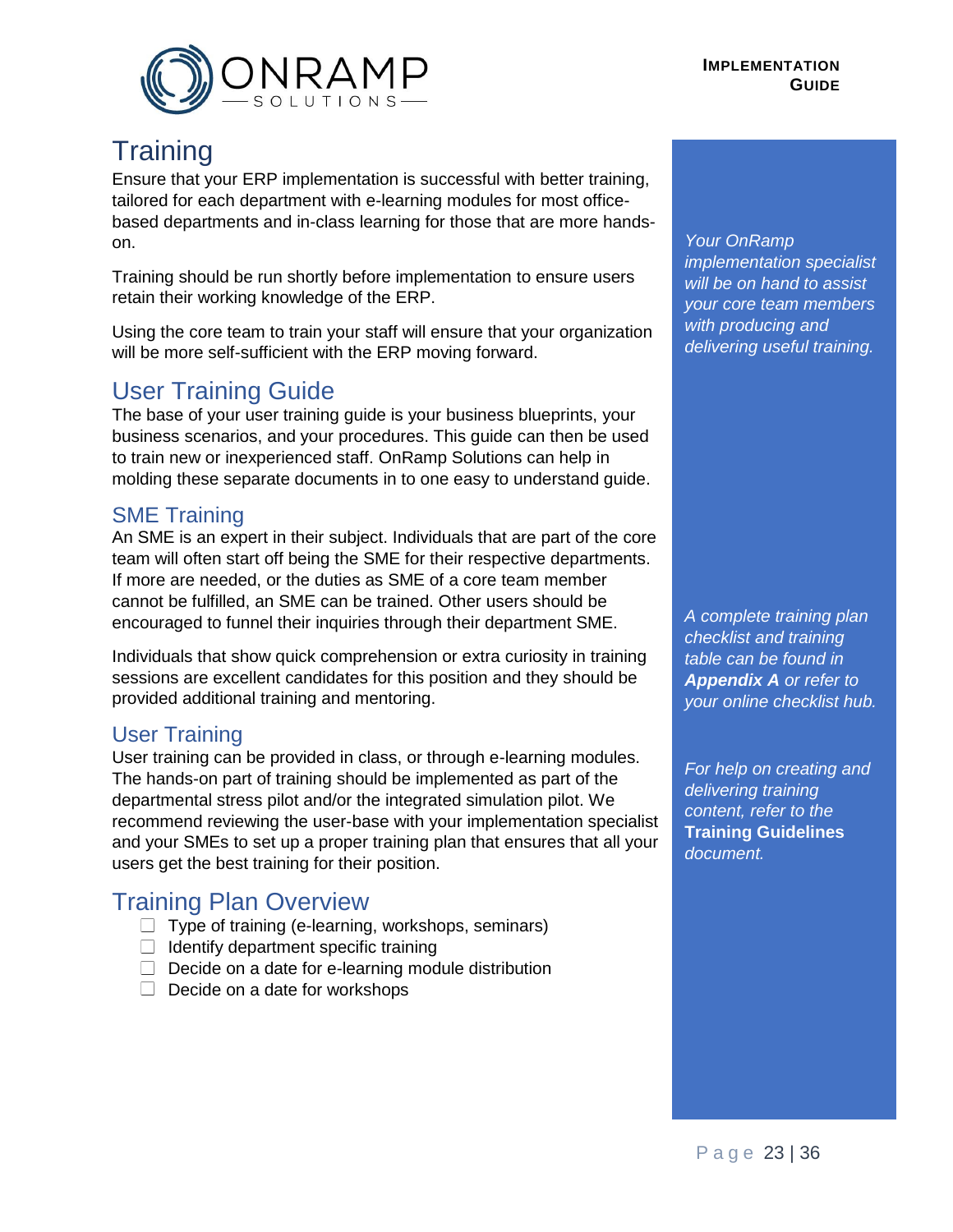<span id="page-22-0"></span>

# **Training**

Ensure that your ERP implementation is successful with better training, tailored for each department with e-learning modules for most officebased departments and in-class learning for those that are more handson.

Training should be run shortly before implementation to ensure users retain their working knowledge of the ERP.

Using the core team to train your staff will ensure that your organization will be more self-sufficient with the ERP moving forward.

# <span id="page-22-1"></span>User Training Guide

The base of your user training guide is your business blueprints, your business scenarios, and your procedures. This guide can then be used to train new or inexperienced staff. OnRamp Solutions can help in molding these separate documents in to one easy to understand guide.

# <span id="page-22-2"></span>SME Training

An SME is an expert in their subject. Individuals that are part of the core team will often start off being the SME for their respective departments. If more are needed, or the duties as SME of a core team member cannot be fulfilled, an SME can be trained. Other users should be encouraged to funnel their inquiries through their department SME.

Individuals that show quick comprehension or extra curiosity in training sessions are excellent candidates for this position and they should be provided additional training and mentoring.

# <span id="page-22-3"></span>User Training

User training can be provided in class, or through e-learning modules. The hands-on part of training should be implemented as part of the departmental stress pilot and/or the integrated simulation pilot. We recommend reviewing the user-base with your implementation specialist and your SMEs to set up a proper training plan that ensures that all your users get the best training for their position.

# Training Plan Overview

- $\Box$  Type of training (e-learning, workshops, seminars)
- $\Box$  Identify department specific training
- $\Box$  Decide on a date for e-learning module distribution
- $\Box$  Decide on a date for workshops

#### *Your OnRamp implementation specialist will be on hand to assist your core team members with producing and delivering useful training.*

*A complete training plan checklist and training table can be found in Appendix A or refer to your online checklist hub.*

*For help on creating and delivering training content, refer to the*  **Training Guidelines**  *document.*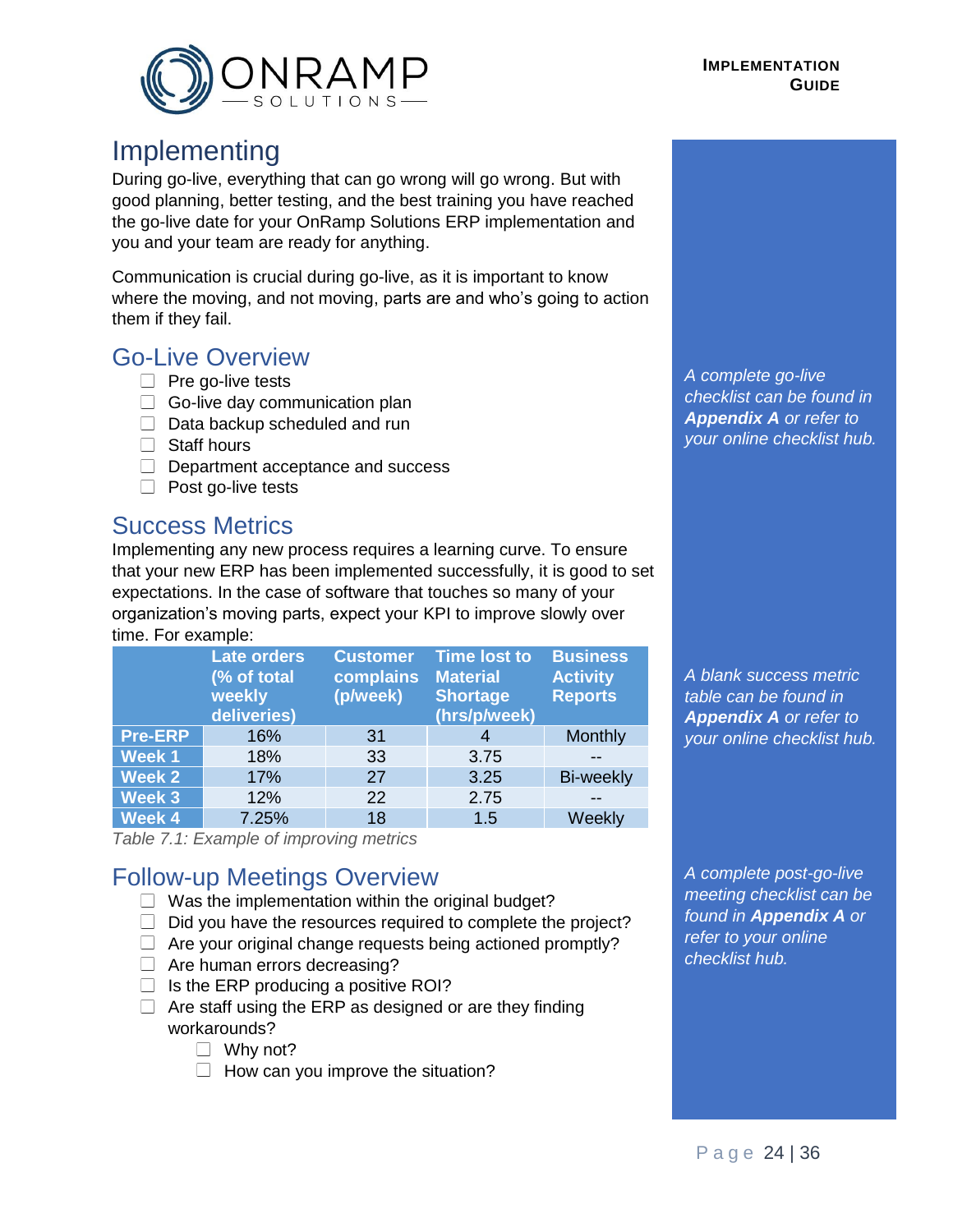<span id="page-23-0"></span>

# Implementing

During go-live, everything that can go wrong will go wrong. But with good planning, better testing, and the best training you have reached the go-live date for your OnRamp Solutions ERP implementation and you and your team are ready for anything.

Communication is crucial during go-live, as it is important to know where the moving, and not moving, parts are and who's going to action them if they fail.

# Go-Live Overview

- $\Box$  Pre go-live tests
- $\Box$  Go-live day communication plan
- $\Box$  Data backup scheduled and run
- $\Box$  Staff hours
- $\Box$  Department acceptance and success
- $\Box$  Post go-live tests

# Success Metrics

Implementing any new process requires a learning curve. To ensure that your new ERP has been implemented successfully, it is good to set expectations. In the case of software that touches so many of your organization's moving parts, expect your KPI to improve slowly over time. For example:

|                | <b>Late orders</b><br>(% of total<br>weekly<br>deliveries) | <b>Customer</b><br>complains<br>(p/week) | <b>Time lost to</b><br><b>Material</b><br><b>Shortage</b><br>(hrs/p/week) | <b>Business</b><br><b>Activity</b><br><b>Reports</b> |
|----------------|------------------------------------------------------------|------------------------------------------|---------------------------------------------------------------------------|------------------------------------------------------|
| <b>Pre-ERP</b> | 16%                                                        | 31                                       |                                                                           | Monthly                                              |
| <b>Week1</b>   | 18%                                                        | 33                                       | 3.75                                                                      |                                                      |
| <b>Week 2</b>  | 17%                                                        | 27                                       | 3.25                                                                      | <b>Bi-weekly</b>                                     |
| Week 3         | 12%                                                        | 22                                       | 2.75                                                                      |                                                      |
| <b>Week 4</b>  | 7.25%                                                      | 18                                       | 1.5                                                                       | Weekly                                               |

*Table 7.1: Example of improving metrics*

# Follow-up Meetings Overview

- $\Box$  Was the implementation within the original budget?
- $\Box$  Did you have the resources required to complete the project?
- $\Box$  Are your original change requests being actioned promptly?
- Are human errors decreasing?
- $\Box$  Is the ERP producing a positive ROI?
- $\Box$  Are staff using the ERP as designed or are they finding workarounds?
	- $\Box$  Why not?
	- $\Box$  How can you improve the situation?

*A complete go-live checklist can be found in Appendix A or refer to your online checklist hub.*

*A blank success metric table can be found in Appendix A or refer to your online checklist hub.*

*A complete post-go-live meeting checklist can be found in Appendix A or refer to your online checklist hub.*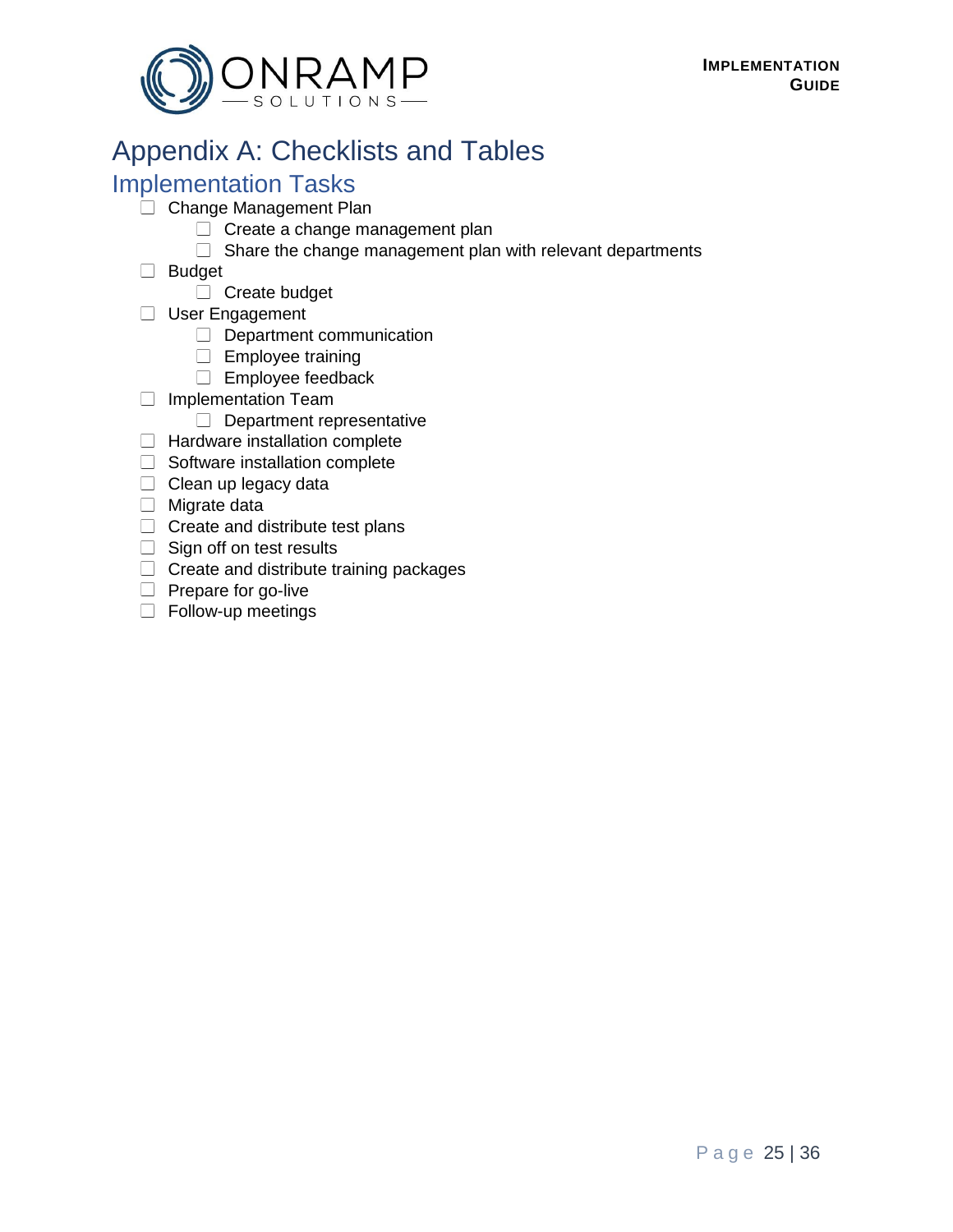

# <span id="page-24-0"></span>Appendix A: Checklists and Tables

# Implementation Tasks

- Change Management Plan
	- $\Box$  Create a change management plan
	- $\Box$  Share the change management plan with relevant departments
- Budget
	- $\Box$  Create budget
- User Engagement
	- $\Box$  Department communication
	- $\Box$  Employee training
	- $\Box$  Employee feedback
- $\Box$  Implementation Team
	- $\Box$  Department representative
- $\Box$  Hardware installation complete
- $\Box$  Software installation complete
- $\Box$  Clean up legacy data
- $\Box$  Migrate data
- $\Box$  Create and distribute test plans
- $\Box$  Sign off on test results
- $\Box$  Create and distribute training packages
- $\Box$  Prepare for go-live
- $\Box$  Follow-up meetings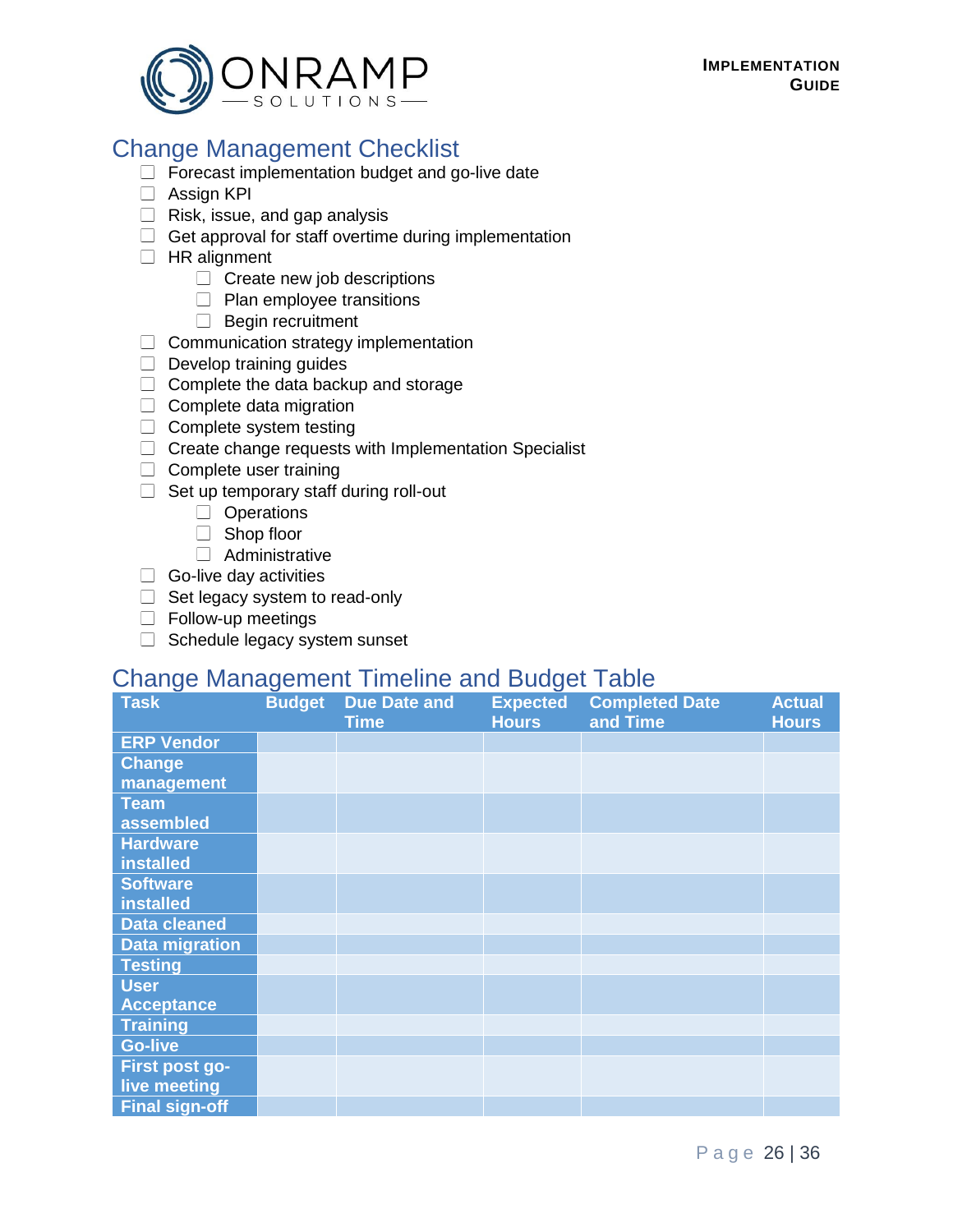

# Change Management Checklist

- $\Box$  Forecast implementation budget and go-live date
- Assign KPI
- $\Box$  Risk, issue, and gap analysis
- $\Box$  Get approval for staff overtime during implementation
- $\Box$  HR alignment
	- $\Box$  Create new job descriptions
	- $\Box$  Plan employee transitions
	- $\Box$  Begin recruitment
- $\Box$  Communication strategy implementation
- $\Box$  Develop training guides
- $\Box$  Complete the data backup and storage
- $\Box$  Complete data migration
- $\Box$  Complete system testing
- $\Box$  Create change requests with Implementation Specialist
- $\Box$  Complete user training
- $\Box$  Set up temporary staff during roll-out
	- $\Box$  Operations
	- Shop floor
	- Administrative
- $\Box$  Go-live day activities
- $\Box$  Set legacy system to read-only
- $\Box$  Follow-up meetings
- $\Box$  Schedule legacy system sunset

# Change Management Timeline and Budget Table

| <b>Task</b>           | <b>Budget</b> | <b>Due Date and</b> | <b>Expected</b> | <b>Completed Date</b> | <b>Actual</b> |
|-----------------------|---------------|---------------------|-----------------|-----------------------|---------------|
|                       |               | <b>Time</b>         | <b>Hours</b>    | and Time              | <b>Hours</b>  |
| <b>ERP Vendor</b>     |               |                     |                 |                       |               |
| <b>Change</b>         |               |                     |                 |                       |               |
| management            |               |                     |                 |                       |               |
| <b>Team</b>           |               |                     |                 |                       |               |
| assembled             |               |                     |                 |                       |               |
| <b>Hardware</b>       |               |                     |                 |                       |               |
| <b>installed</b>      |               |                     |                 |                       |               |
| <b>Software</b>       |               |                     |                 |                       |               |
| installed             |               |                     |                 |                       |               |
| <b>Data cleaned</b>   |               |                     |                 |                       |               |
| <b>Data migration</b> |               |                     |                 |                       |               |
| <b>Testing</b>        |               |                     |                 |                       |               |
| <b>User</b>           |               |                     |                 |                       |               |
| <b>Acceptance</b>     |               |                     |                 |                       |               |
| <b>Training</b>       |               |                     |                 |                       |               |
| <b>Go-live</b>        |               |                     |                 |                       |               |
| First post go-        |               |                     |                 |                       |               |
| live meeting          |               |                     |                 |                       |               |
| <b>Final sign-off</b> |               |                     |                 |                       |               |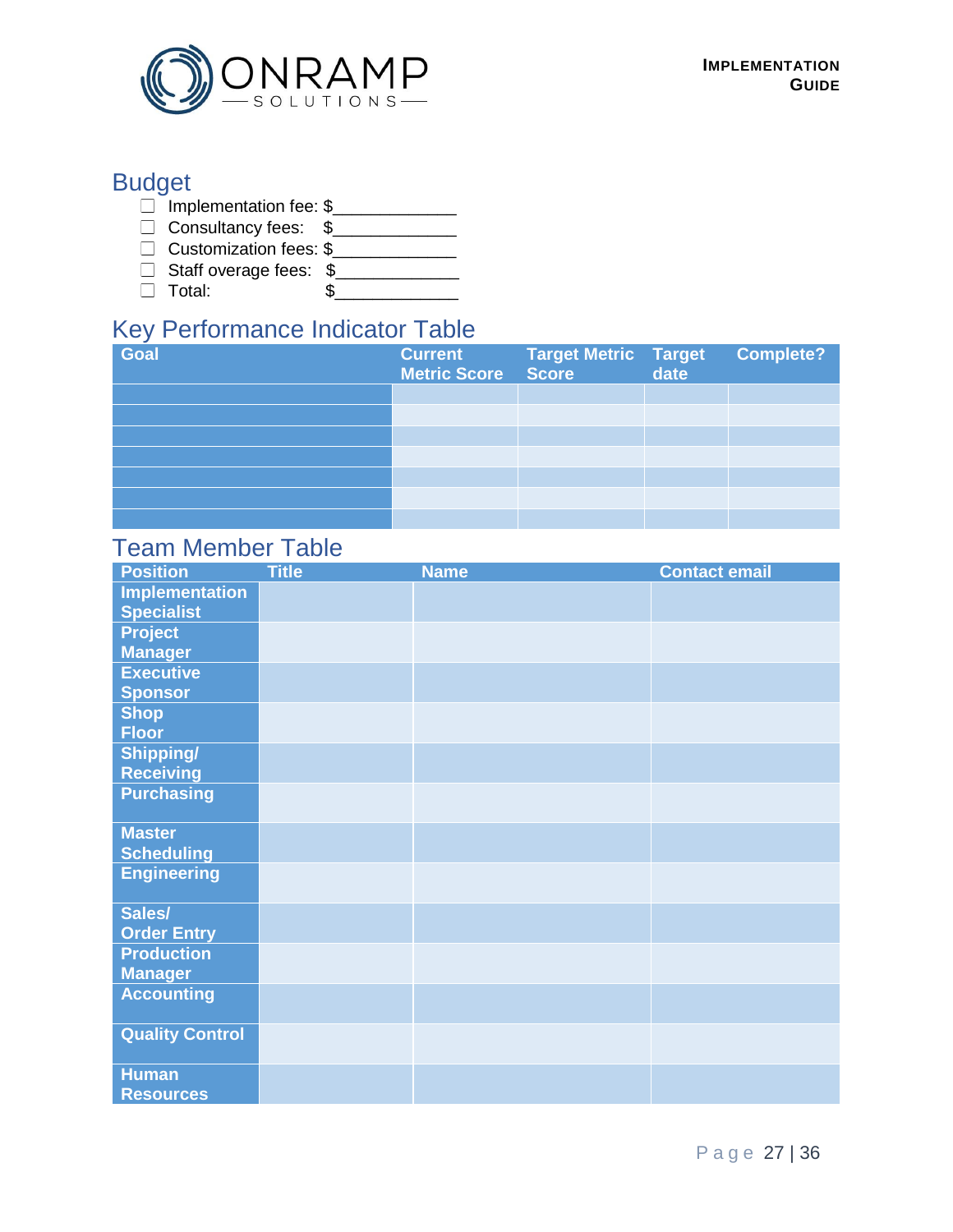

# Budget

- □ Implementation fee: \$\_\_\_\_\_\_\_\_\_\_\_\_\_\_
- Consultancy fees: \$\_\_\_\_\_\_\_\_\_\_\_\_\_\_\_
- Customization fees: \$\_\_\_\_\_\_\_\_\_\_\_\_\_
- Staff overage fees: \$\_\_\_\_\_\_\_\_\_\_\_\_\_
- Total: \$\_\_\_\_\_\_\_\_\_\_\_\_\_

# Key Performance Indicator Table

| $\sim$<br>Goal | <b>Current</b><br>Metric Score Score | Target Metric Target<br>Score date | <b>Complete?</b> |
|----------------|--------------------------------------|------------------------------------|------------------|
|                |                                      |                                    |                  |
|                |                                      |                                    |                  |
|                |                                      |                                    |                  |
|                |                                      |                                    |                  |
|                |                                      |                                    |                  |
|                |                                      |                                    |                  |
|                |                                      |                                    |                  |

# Team Member Table

| <b>Position</b>        | <b>Title</b> | <b>Name</b> | <b>Contact email</b> |
|------------------------|--------------|-------------|----------------------|
| <b>Implementation</b>  |              |             |                      |
| <b>Specialist</b>      |              |             |                      |
| <b>Project</b>         |              |             |                      |
| <b>Manager</b>         |              |             |                      |
| <b>Executive</b>       |              |             |                      |
| <b>Sponsor</b>         |              |             |                      |
| <b>Shop</b>            |              |             |                      |
| <b>Floor</b>           |              |             |                      |
| Shipping/              |              |             |                      |
| <b>Receiving</b>       |              |             |                      |
| <b>Purchasing</b>      |              |             |                      |
| <b>Master</b>          |              |             |                      |
| <b>Scheduling</b>      |              |             |                      |
| <b>Engineering</b>     |              |             |                      |
| Sales/                 |              |             |                      |
| <b>Order Entry</b>     |              |             |                      |
| <b>Production</b>      |              |             |                      |
| <b>Manager</b>         |              |             |                      |
| <b>Accounting</b>      |              |             |                      |
| <b>Quality Control</b> |              |             |                      |
| <b>Human</b>           |              |             |                      |
| <b>Resources</b>       |              |             |                      |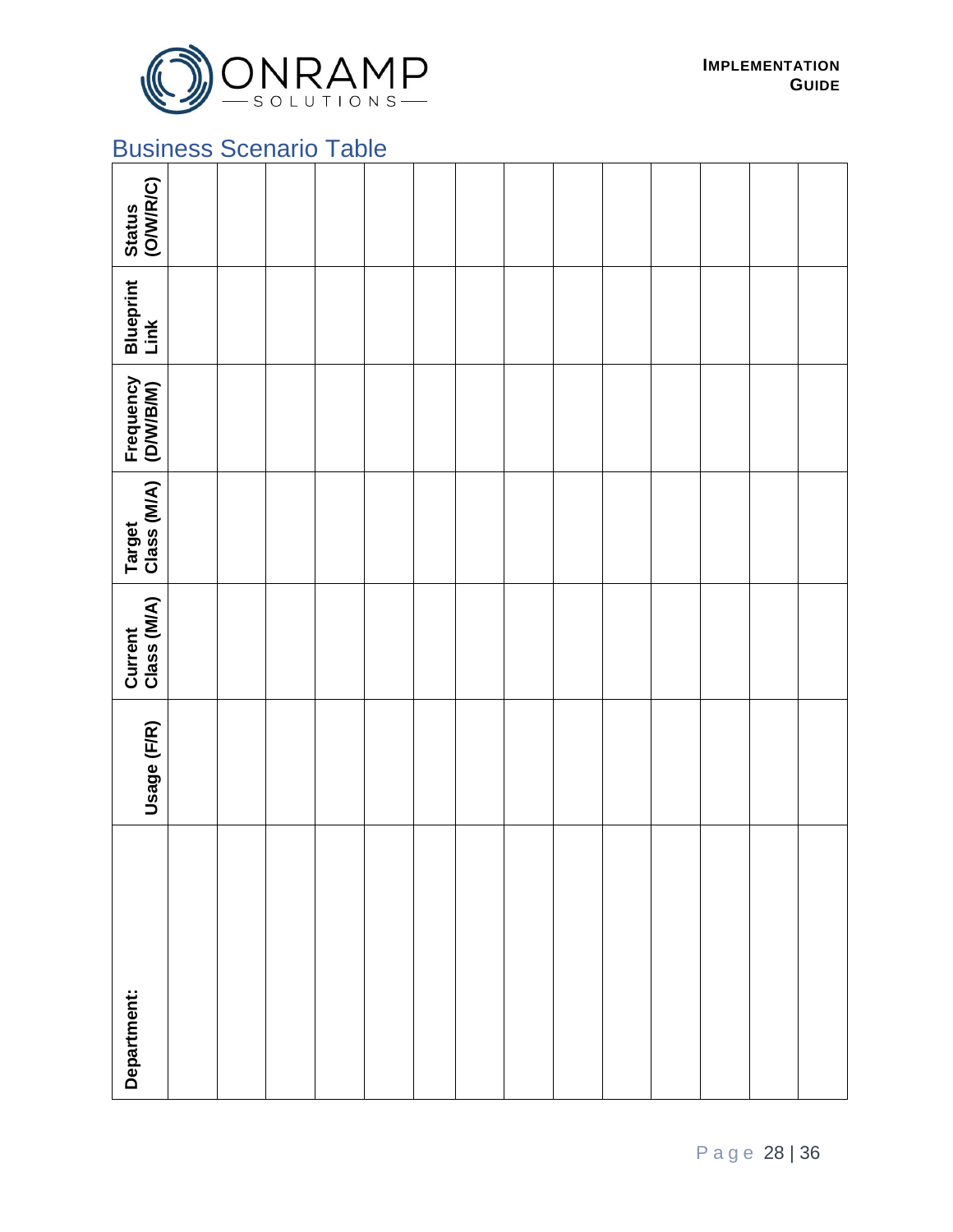

# Business Scenario Table

| Status<br>(O/W/R/C)    |  |  |  |  |  |  |  |
|------------------------|--|--|--|--|--|--|--|
| Blueprint<br>Link      |  |  |  |  |  |  |  |
| Frequency<br>(D/W/B/M) |  |  |  |  |  |  |  |
| Target<br>Class (M/A)  |  |  |  |  |  |  |  |
| Current<br>Class (M/A) |  |  |  |  |  |  |  |
| Usage (F/R)            |  |  |  |  |  |  |  |
| Department:            |  |  |  |  |  |  |  |

P a g e 28 | 36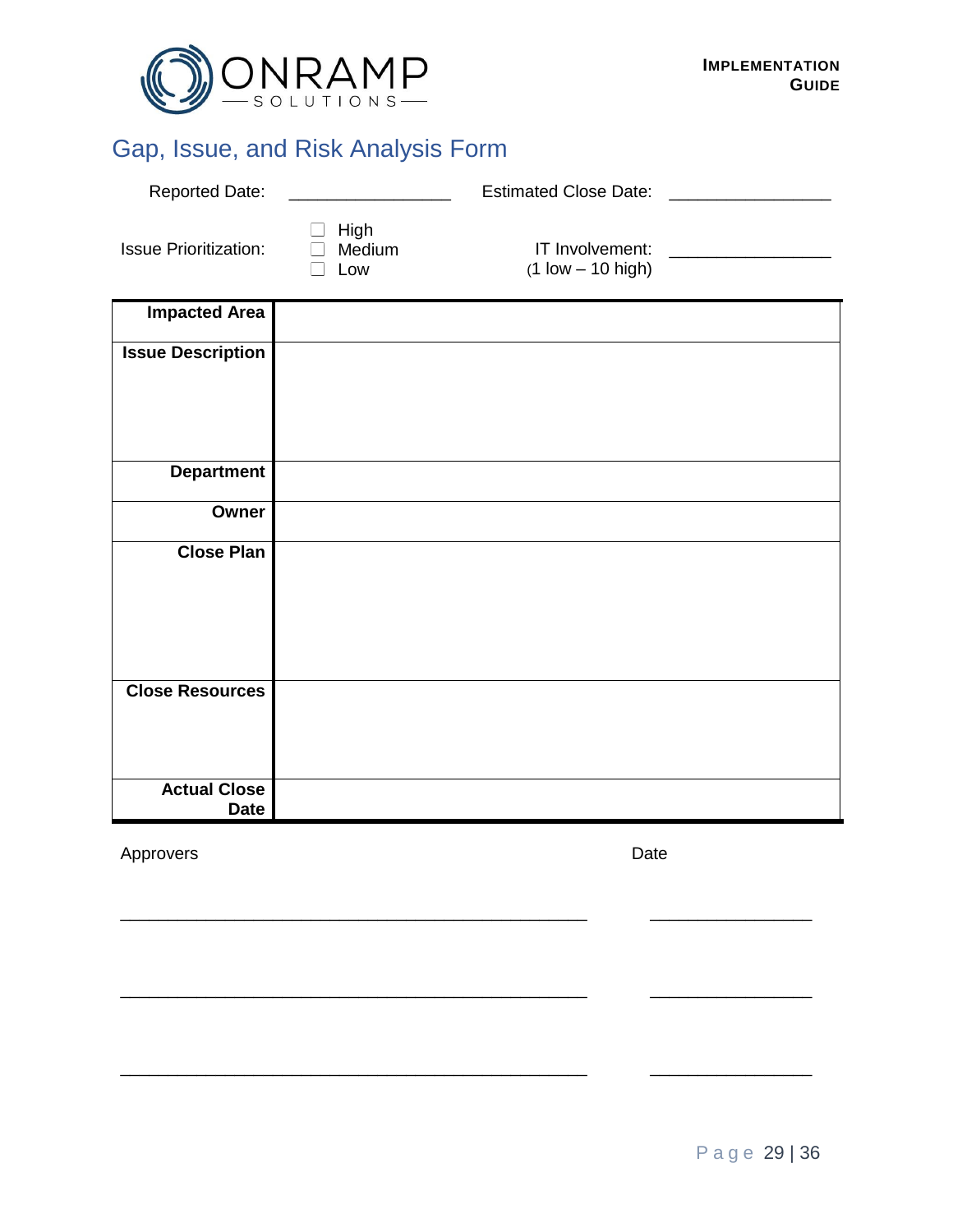

# Gap, Issue, and Risk Analysis Form

| <b>Reported Date:</b>              |                              | Estimated Close Date: North States and States and States and States and States and States and States and States |                                     |
|------------------------------------|------------------------------|-----------------------------------------------------------------------------------------------------------------|-------------------------------------|
| <b>Issue Prioritization:</b>       | High<br>$\Box$ Medium<br>Low | IT Involvement:<br>$(1$ low $- 10$ high)                                                                        | <u> 1980 - Jan Barbarat, manala</u> |
| <b>Impacted Area</b>               |                              |                                                                                                                 |                                     |
| <b>Issue Description</b>           |                              |                                                                                                                 |                                     |
|                                    |                              |                                                                                                                 |                                     |
|                                    |                              |                                                                                                                 |                                     |
| <b>Department</b>                  |                              |                                                                                                                 |                                     |
| Owner                              |                              |                                                                                                                 |                                     |
| <b>Close Plan</b>                  |                              |                                                                                                                 |                                     |
|                                    |                              |                                                                                                                 |                                     |
|                                    |                              |                                                                                                                 |                                     |
| <b>Close Resources</b>             |                              |                                                                                                                 |                                     |
|                                    |                              |                                                                                                                 |                                     |
|                                    |                              |                                                                                                                 |                                     |
| <b>Actual Close</b><br><b>Date</b> |                              |                                                                                                                 |                                     |

\_\_\_\_\_\_\_\_\_\_\_\_\_\_\_\_\_\_\_\_\_\_\_\_\_\_\_\_\_\_\_\_\_\_\_\_\_\_\_\_\_\_\_\_\_\_\_\_\_ \_\_\_\_\_\_\_\_\_\_\_\_\_\_\_\_\_

\_\_\_\_\_\_\_\_\_\_\_\_\_\_\_\_\_\_\_\_\_\_\_\_\_\_\_\_\_\_\_\_\_\_\_\_\_\_\_\_\_\_\_\_\_\_\_\_\_ \_\_\_\_\_\_\_\_\_\_\_\_\_\_\_\_\_

\_\_\_\_\_\_\_\_\_\_\_\_\_\_\_\_\_\_\_\_\_\_\_\_\_\_\_\_\_\_\_\_\_\_\_\_\_\_\_\_\_\_\_\_\_\_\_\_\_ \_\_\_\_\_\_\_\_\_\_\_\_\_\_\_\_\_

Approvers Date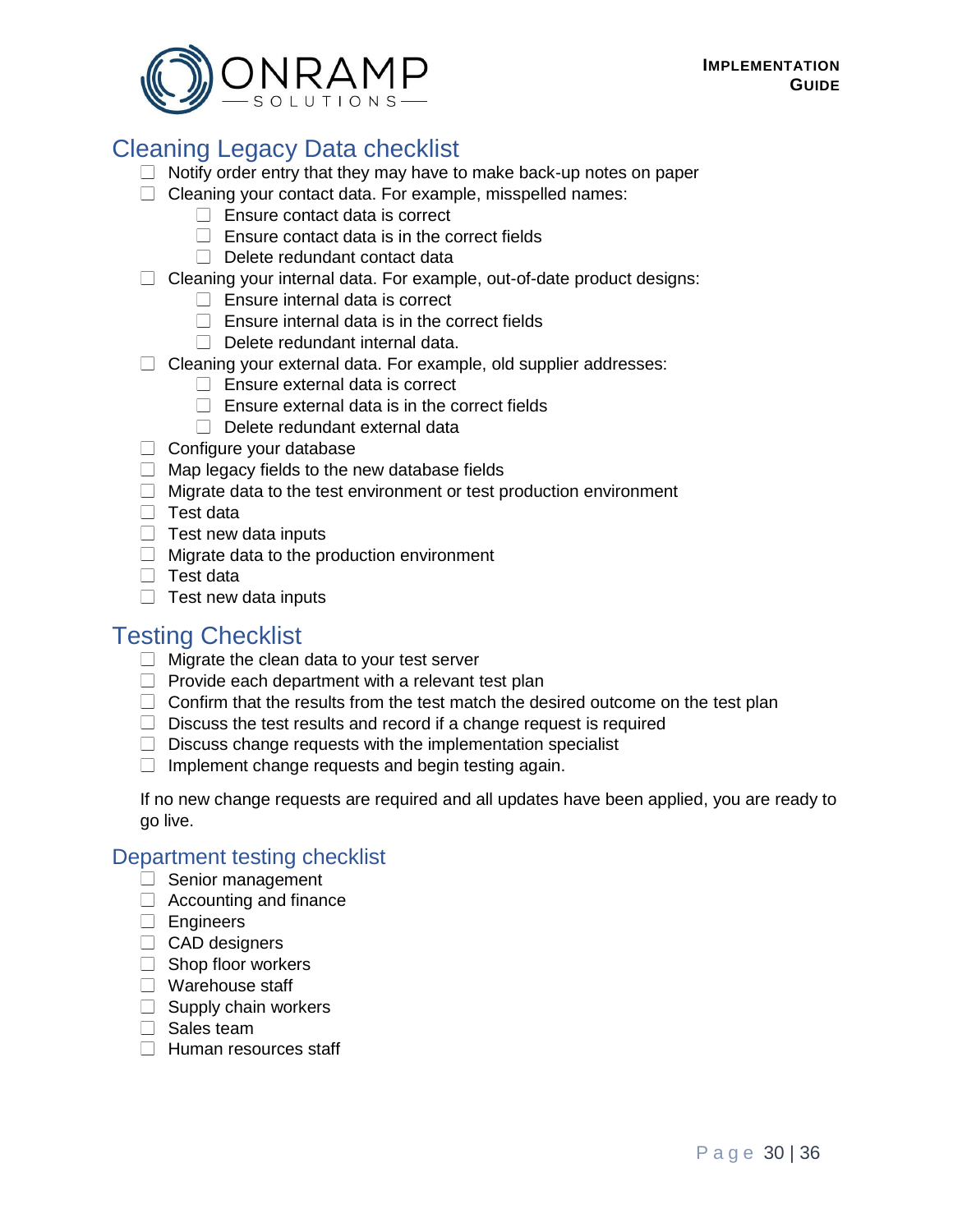

# Cleaning Legacy Data checklist

- $\Box$  Notify order entry that they may have to make back-up notes on paper
- $\Box$  Cleaning your contact data. For example, misspelled names:
	- $\Box$  Ensure contact data is correct
	- $\Box$  Ensure contact data is in the correct fields
	- $\Box$  Delete redundant contact data
- $\Box$  Cleaning your internal data. For example, out-of-date product designs:
	- $\Box$  Ensure internal data is correct
	- $\Box$  Ensure internal data is in the correct fields
	- $\Box$  Delete redundant internal data.
- $\Box$  Cleaning your external data. For example, old supplier addresses:
	- $\Box$  Ensure external data is correct
	- $\Box$  Fnsure external data is in the correct fields
	- Delete redundant external data
- $\Box$  Configure your database
- $\Box$  Map legacy fields to the new database fields
- $\Box$  Migrate data to the test environment or test production environment
- $\Box$  Test data
- $\Box$  Test new data inputs
- $\Box$  Migrate data to the production environment
- $\Box$  Test data
- $\Box$  Test new data inputs

# Testing Checklist

- $\Box$  Migrate the clean data to your test server
- $\Box$  Provide each department with a relevant test plan
- $\Box$  Confirm that the results from the test match the desired outcome on the test plan
- $\Box$  Discuss the test results and record if a change request is required
- $\Box$  Discuss change requests with the implementation specialist
- $\Box$  Implement change requests and begin testing again.

If no new change requests are required and all updates have been applied, you are ready to go live.

#### Department testing checklist

- $\Box$  Senior management
- $\Box$  Accounting and finance
- **Engineers**
- CAD designers
- $\Box$  Shop floor workers
- □ Warehouse staff
- $\Box$  Supply chain workers
- $\Box$  Sales team
- $\Box$  Human resources staff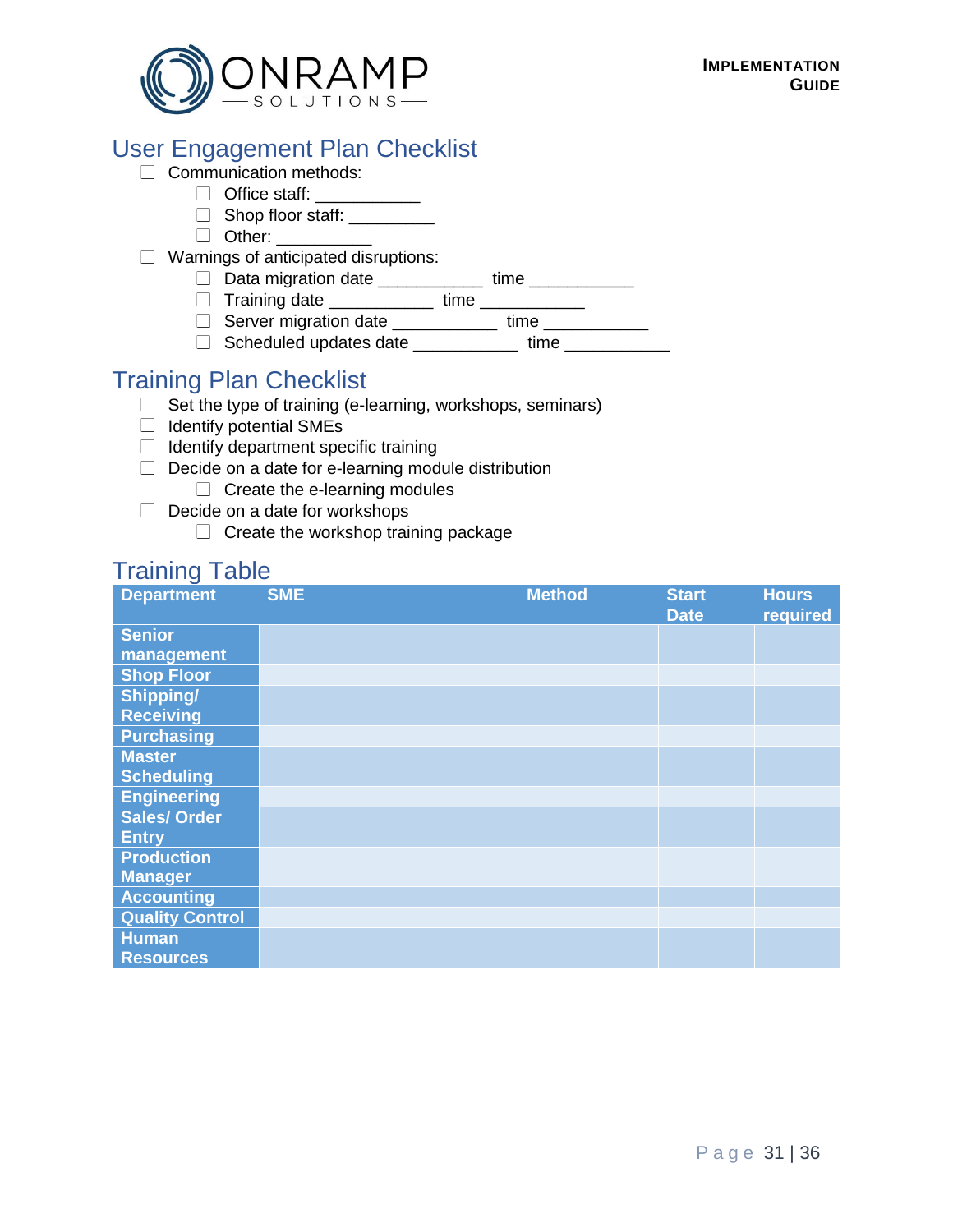

# User Engagement Plan Checklist

#### $\Box$  Communication methods:

- □ Office staff: \_\_\_\_\_\_\_\_\_\_\_
	- $\Box$  Shop floor staff:
	- □ Other: \_\_\_\_\_\_\_\_\_\_
- $\Box$  Warnings of anticipated disruptions:
	- Data migration date \_\_\_\_\_\_\_\_\_\_\_ time \_\_\_\_\_\_\_\_\_\_\_
	- Training date \_\_\_\_\_\_\_\_\_\_\_ time \_\_\_\_\_\_\_\_\_\_\_
	- □ Server migration date \_\_\_\_\_\_\_\_\_\_\_ time \_\_\_\_\_\_\_\_\_\_\_
	- □ Scheduled updates date \_\_\_\_\_\_\_\_\_\_\_ time \_\_\_\_\_\_\_\_\_\_\_

# Training Plan Checklist

- $\Box$  Set the type of training (e-learning, workshops, seminars)
- $\Box$  Identify potential SMEs
- $\Box$  Identify department specific training
- $\Box$  Decide on a date for e-learning module distribution
	- $\Box$  Create the e-learning modules
- $\Box$  Decide on a date for workshops
	- $\Box$  Create the workshop training package

# Training Table

| <b>Department</b>      | <b>SME</b> | <b>Method</b> | <b>Start</b> | <b>Hours</b> |
|------------------------|------------|---------------|--------------|--------------|
|                        |            |               | <b>Date</b>  | required     |
| <b>Senior</b>          |            |               |              |              |
| management             |            |               |              |              |
| <b>Shop Floor</b>      |            |               |              |              |
| Shipping/              |            |               |              |              |
| <b>Receiving</b>       |            |               |              |              |
| <b>Purchasing</b>      |            |               |              |              |
| <b>Master</b>          |            |               |              |              |
| <b>Scheduling</b>      |            |               |              |              |
| <b>Engineering</b>     |            |               |              |              |
| <b>Sales/Order</b>     |            |               |              |              |
| <b>Entry</b>           |            |               |              |              |
| <b>Production</b>      |            |               |              |              |
| <b>Manager</b>         |            |               |              |              |
| <b>Accounting</b>      |            |               |              |              |
| <b>Quality Control</b> |            |               |              |              |
| <b>Human</b>           |            |               |              |              |
| <b>Resources</b>       |            |               |              |              |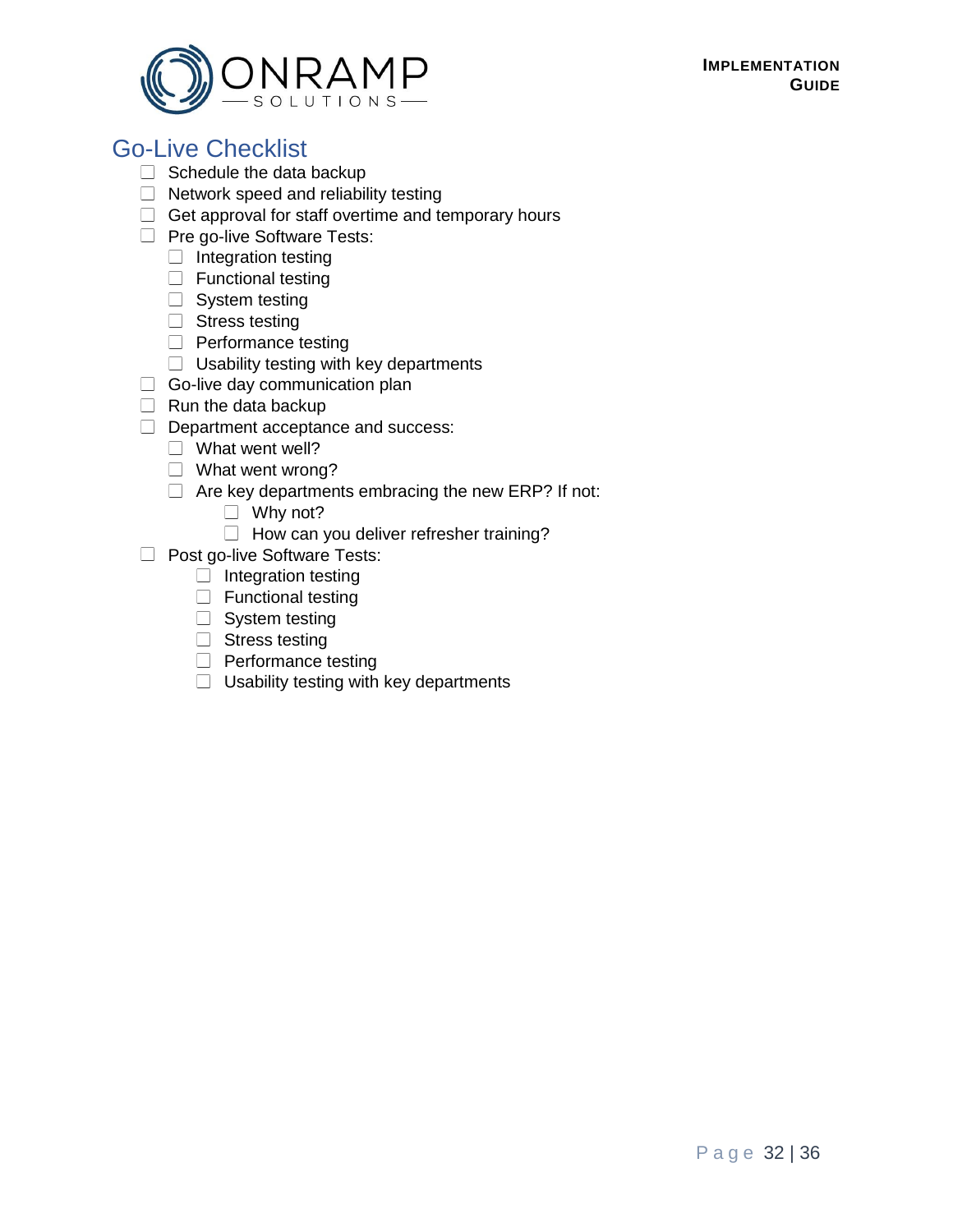#### **IMPLEMENTATION GUIDE**



# Go-Live Checklist

- $\Box$  Schedule the data backup
- $\Box$  Network speed and reliability testing
- $\Box$  Get approval for staff overtime and temporary hours
- $\Box$  Pre go-live Software Tests:
	- $\Box$  Integration testing
	- $\Box$  Functional testing
	- $\Box$  System testing
	- $\Box$  Stress testing
	- $\Box$  Performance testing
	- $\Box$  Usability testing with key departments
- $\Box$  Go-live day communication plan
- $\Box$  Run the data backup
- Department acceptance and success:
	- $\Box$  What went well?
	- $\Box$  What went wrong?
	- $\Box$  Are key departments embracing the new ERP? If not:
		- $\Box$  Why not?
		- $\Box$  How can you deliver refresher training?
- **Post go-live Software Tests:** 
	- $\Box$  Integration testing
	- $\Box$  Functional testing
	- $\Box$  System testing
	- $\Box$  Stress testing
	- $\Box$  Performance testing
	- $\Box$  Usability testing with key departments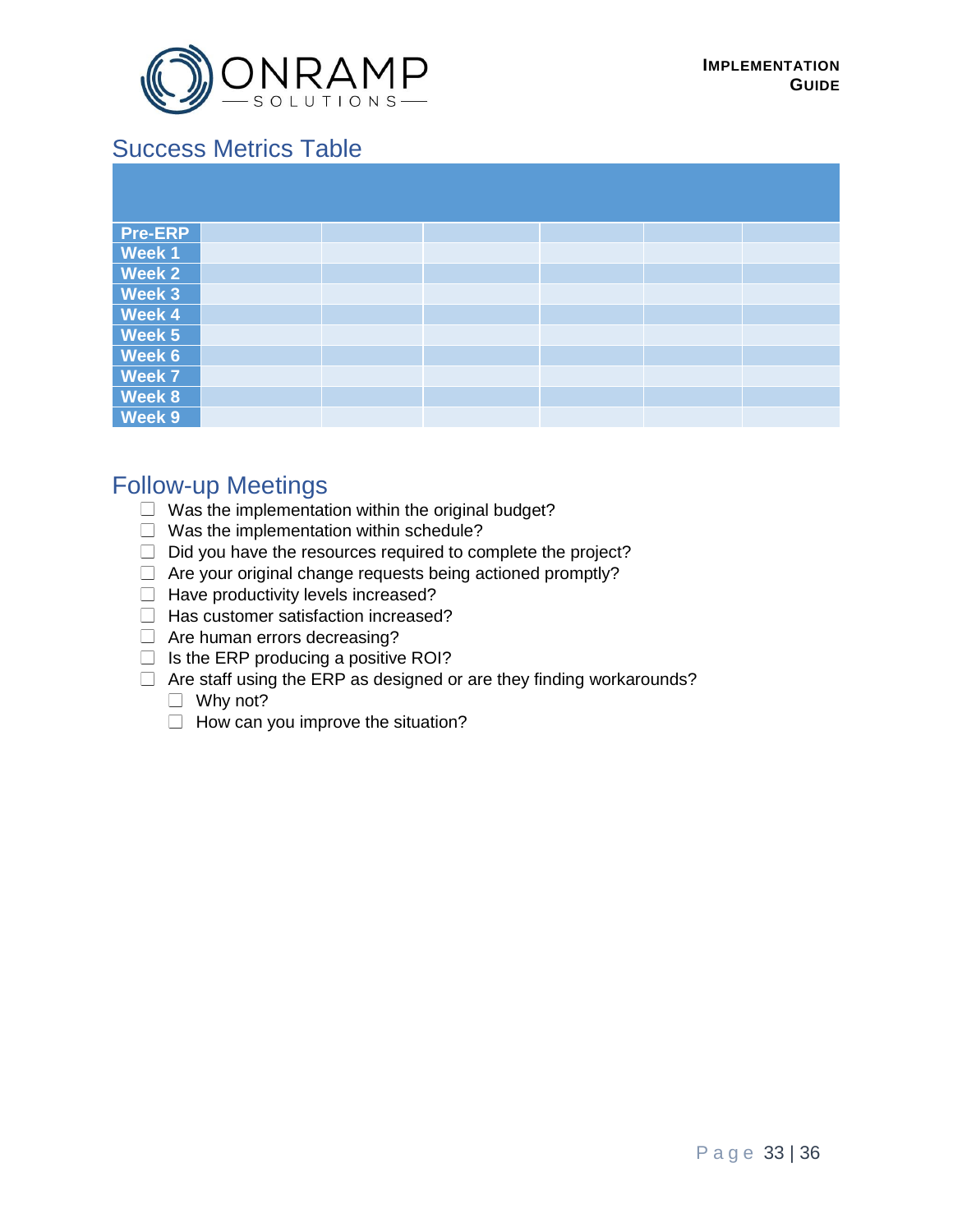

# Success Metrics Table

| <b>Pre-ERP</b> |  |  |  |
|----------------|--|--|--|
| <b>Week1</b>   |  |  |  |
| <b>Week 2</b>  |  |  |  |
| <b>Week 3</b>  |  |  |  |
| Week 4         |  |  |  |
| Week 5         |  |  |  |
| <b>Week 6</b>  |  |  |  |
| <b>Week 7</b>  |  |  |  |
| <b>Week 8</b>  |  |  |  |
| Week 9         |  |  |  |

# Follow-up Meetings

- $\Box$  Was the implementation within the original budget?
- $\Box$  Was the implementation within schedule?
- $\Box$  Did you have the resources required to complete the project?
- $\Box$  Are your original change requests being actioned promptly?
- $\Box$  Have productivity levels increased?
- $\Box$  Has customer satisfaction increased?
- □ Are human errors decreasing?
- $\Box$  Is the ERP producing a positive ROI?
- $\Box$  Are staff using the ERP as designed or are they finding workarounds?
	- □ Why not?
	- $\Box$  How can you improve the situation?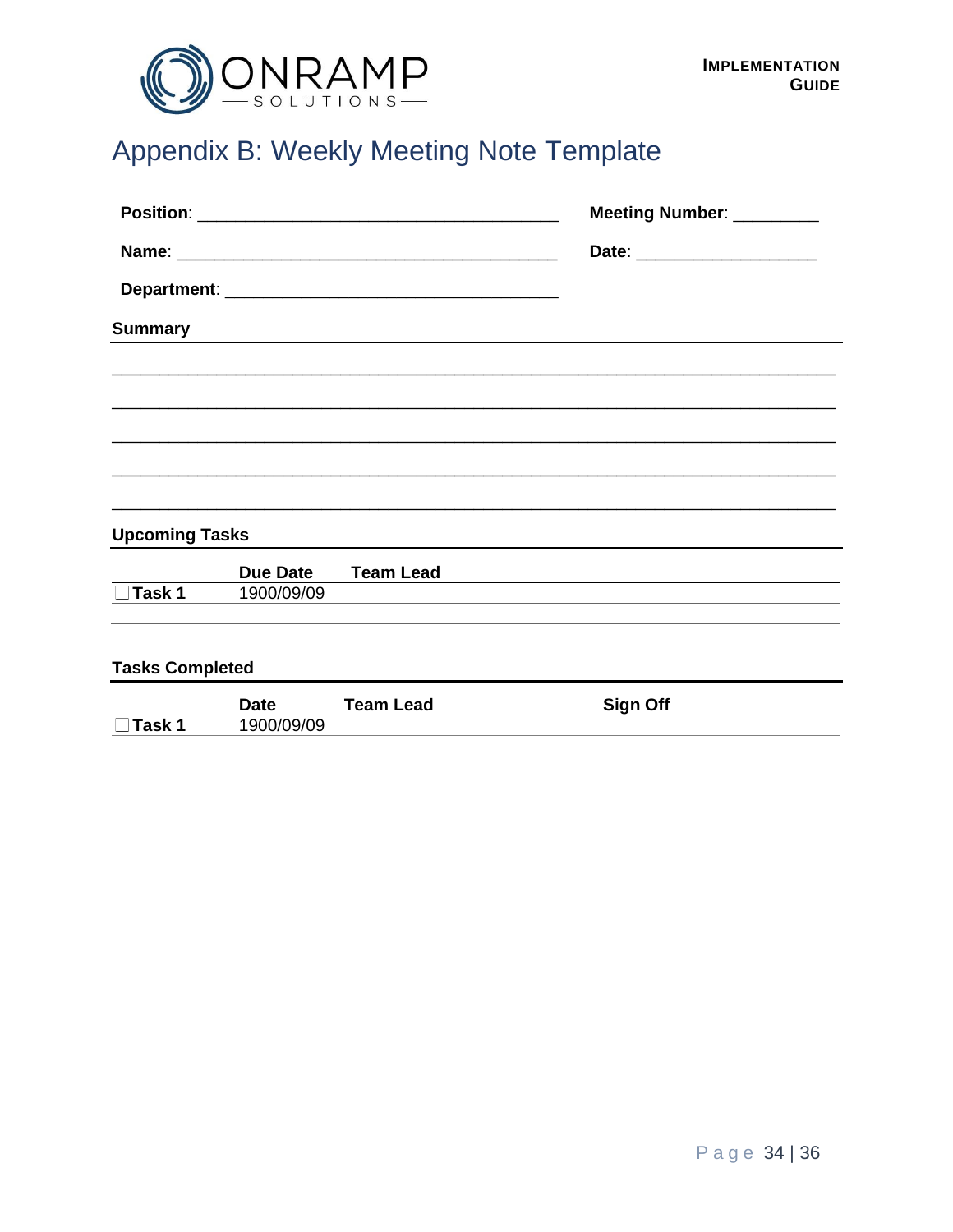

# <span id="page-33-0"></span>Appendix B: Weekly Meeting Note Template

|                       |                 |                                                            | Meeting Number: _________      |  |  |
|-----------------------|-----------------|------------------------------------------------------------|--------------------------------|--|--|
|                       |                 |                                                            | Date: ________________________ |  |  |
|                       |                 |                                                            |                                |  |  |
| <b>Summary</b>        |                 | <u> 1989 - Johann Stoff, amerikansk politiker (* 1908)</u> |                                |  |  |
|                       |                 |                                                            |                                |  |  |
|                       |                 |                                                            |                                |  |  |
|                       |                 |                                                            |                                |  |  |
|                       |                 |                                                            |                                |  |  |
|                       |                 |                                                            |                                |  |  |
| <b>Upcoming Tasks</b> |                 |                                                            |                                |  |  |
|                       | <b>Due Date</b> | <b>Team Lead</b>                                           |                                |  |  |
| Task 1                | 1900/09/09      |                                                            |                                |  |  |
|                       |                 |                                                            |                                |  |  |

#### **Tasks Completed**

|        | <b>Date</b> | Team Lead | <b>Sign Off</b> |  |
|--------|-------------|-----------|-----------------|--|
| ⊺ask 1 | 900/09/09   |           |                 |  |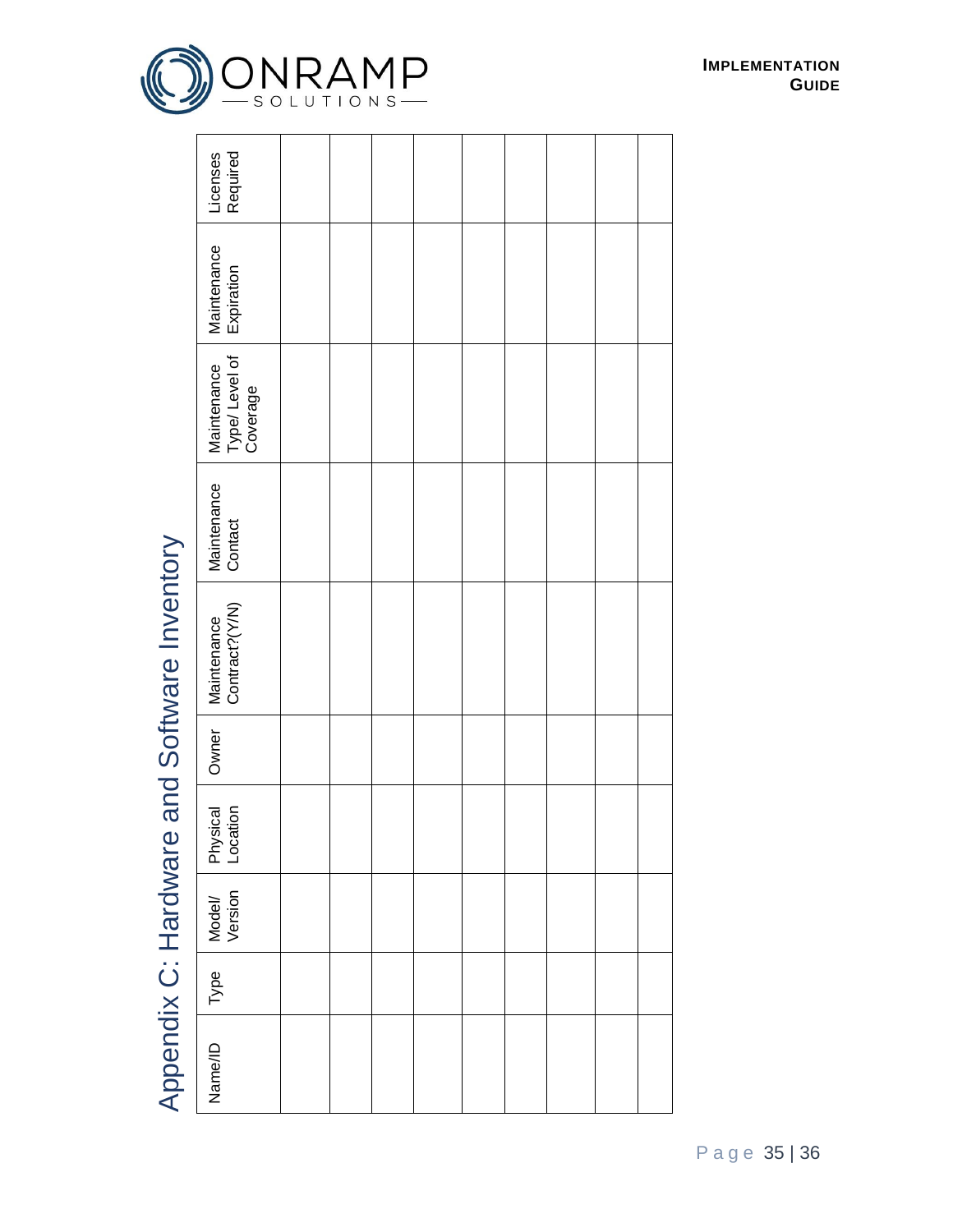|                                             | Required<br>Licenses                      |  |  |  |  |  |
|---------------------------------------------|-------------------------------------------|--|--|--|--|--|
|                                             | Maintenance<br>Expiration                 |  |  |  |  |  |
|                                             | Maintenance<br>Type/ Level of<br>Coverage |  |  |  |  |  |
|                                             | Maintenance<br>Contact                    |  |  |  |  |  |
| Appendix C: Hardware and Software Inventory | Maintenance<br>Contract?(Y/N)             |  |  |  |  |  |
|                                             | Owner                                     |  |  |  |  |  |
|                                             | Physical<br>Location                      |  |  |  |  |  |
|                                             | Model/<br>Version                         |  |  |  |  |  |
|                                             | Type                                      |  |  |  |  |  |
|                                             | Name/ID                                   |  |  |  |  |  |

# <span id="page-34-0"></span>Appendix C: Hardware and Software Inventory